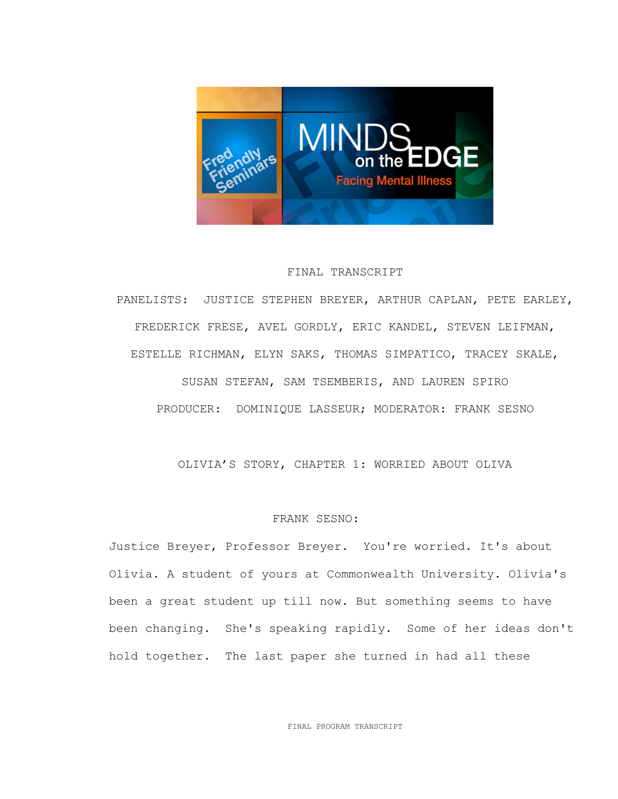

## FINAL TRANSCRIPT

PANELISTS: JUSTICE STEPHEN BREYER, ARTHUR CAPLAN, PETE EARLEY, FREDERICK FRESE, AVEL GORDLY, ERIC KANDEL, STEVEN LEIFMAN, ESTELLE RICHMAN, ELYN SAKS, THOMAS SIMPATICO, TRACEY SKALE, SUSAN STEFAN, SAM TSEMBERIS, AND LAUREN SPIRO PRODUCER: DOMINIQUE LASSEUR; MODERATOR: FRANK SESNO

OLIVIA'S STORY, CHAPTER 1: WORRIED ABOUT OLIVA

### FRANK SESNO:

Justice Breyer, Professor Breyer. You're worried. It's about Olivia. A student of yours at Commonwealth University. Olivia's been a great student up till now. But something seems to have been changing. She's speaking rapidly. Some of her ideas don't hold together. The last paper she turned in had all these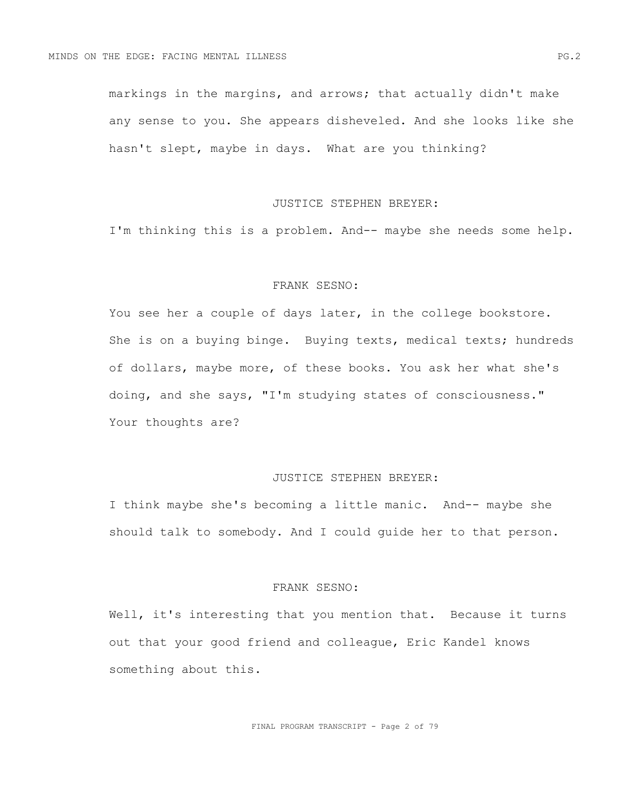markings in the margins, and arrows; that actually didn't make any sense to you. She appears disheveled. And she looks like she hasn't slept, maybe in days. What are you thinking?

### JUSTICE STEPHEN BREYER:

I'm thinking this is a problem. And-- maybe she needs some help.

## FRANK SESNO:

You see her a couple of days later, in the college bookstore. She is on a buying binge. Buying texts, medical texts; hundreds of dollars, maybe more, of these books. You ask her what she's doing, and she says, "I'm studying states of consciousness." Your thoughts are?

# JUSTICE STEPHEN BREYER:

I think maybe she's becoming a little manic. And-- maybe she should talk to somebody. And I could guide her to that person.

#### FRANK SESNO:

Well, it's interesting that you mention that. Because it turns out that your good friend and colleague, Eric Kandel knows something about this.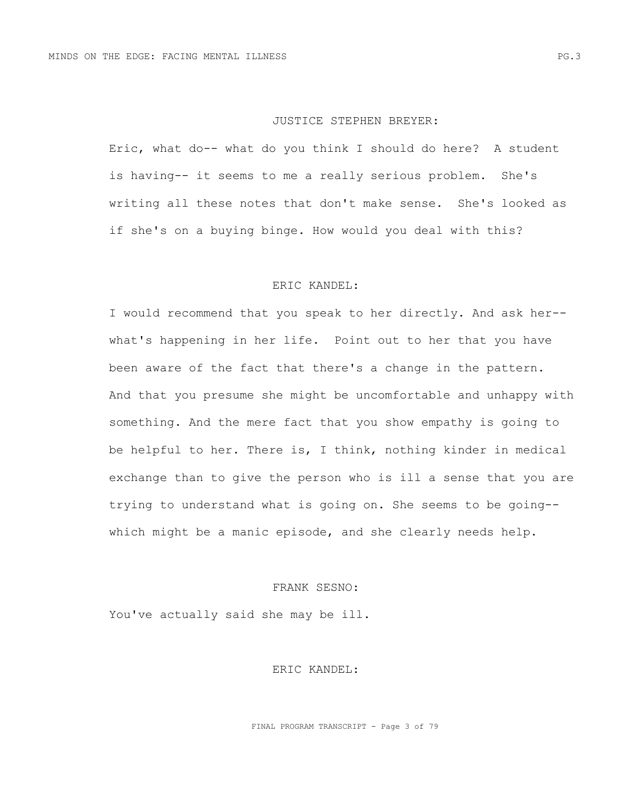#### JUSTICE STEPHEN BREYER:

Eric, what do-- what do you think I should do here? A student is having-- it seems to me a really serious problem. She's writing all these notes that don't make sense. She's looked as if she's on a buying binge. How would you deal with this?

## ERIC KANDEL:

I would recommend that you speak to her directly. And ask her- what's happening in her life. Point out to her that you have been aware of the fact that there's a change in the pattern. And that you presume she might be uncomfortable and unhappy with something. And the mere fact that you show empathy is going to be helpful to her. There is, I think, nothing kinder in medical exchange than to give the person who is ill a sense that you are trying to understand what is going on. She seems to be going- which might be a manic episode, and she clearly needs help.

## FRANK SESNO:

You've actually said she may be ill.

ERIC KANDEL: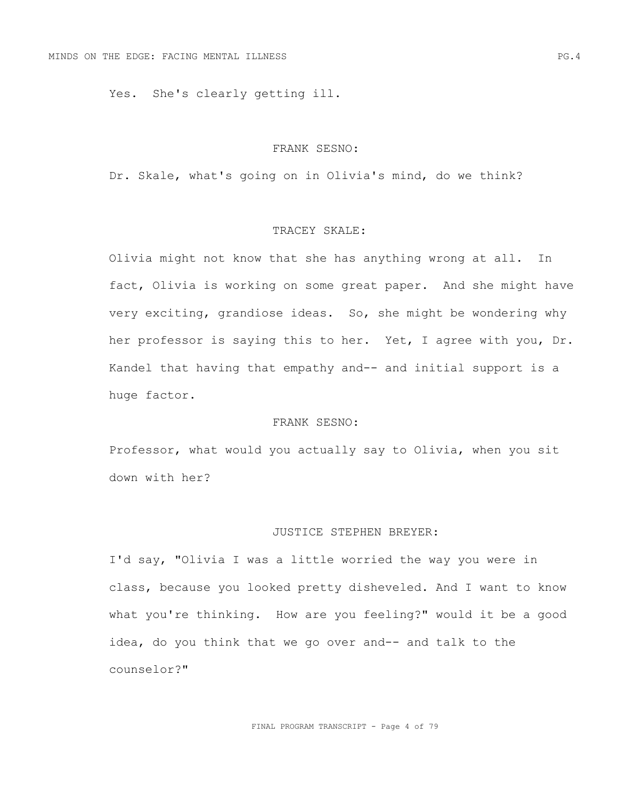Yes. She's clearly getting ill.

#### FRANK SESNO:

Dr. Skale, what's going on in Olivia's mind, do we think?

# TRACEY SKALE:

Olivia might not know that she has anything wrong at all. In fact, Olivia is working on some great paper. And she might have very exciting, grandiose ideas. So, she might be wondering why her professor is saying this to her. Yet, I agree with you, Dr. Kandel that having that empathy and-- and initial support is a huge factor.

## FRANK SESNO:

Professor, what would you actually say to Olivia, when you sit down with her?

# JUSTICE STEPHEN BREYER:

I'd say, "Olivia I was a little worried the way you were in class, because you looked pretty disheveled. And I want to know what you're thinking. How are you feeling?" would it be a good idea, do you think that we go over and-- and talk to the counselor?"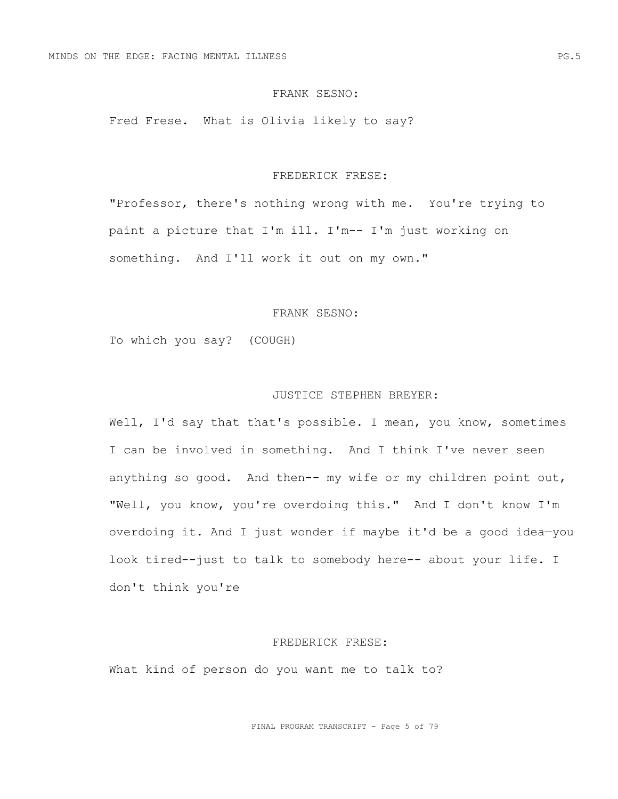Fred Frese. What is Olivia likely to say?

#### FREDERICK FRESE:

"Professor, there's nothing wrong with me. You're trying to paint a picture that I'm ill. I'm-- I'm just working on something. And I'll work it out on my own."

## FRANK SESNO:

To which you say? (COUGH)

# JUSTICE STEPHEN BREYER:

Well, I'd say that that's possible. I mean, you know, sometimes I can be involved in something. And I think I've never seen anything so good. And then-- my wife or my children point out, "Well, you know, you're overdoing this." And I don't know I'm overdoing it. And I just wonder if maybe it'd be a good idea—you look tired--just to talk to somebody here-- about your life. I don't think you're

### FREDERICK FRESE:

What kind of person do you want me to talk to?

FINAL PROGRAM TRANSCRIPT - Page 5 of 79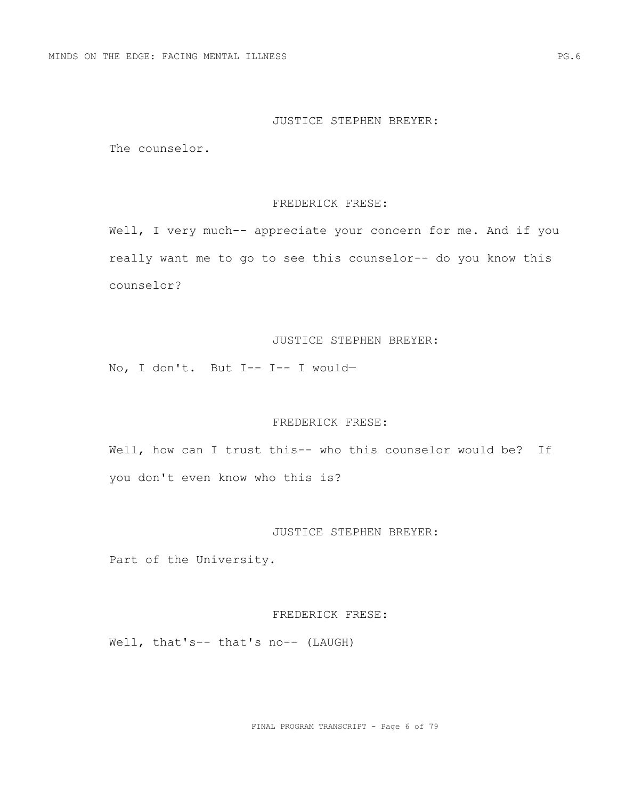#### JUSTICE STEPHEN BREYER:

The counselor.

## FREDERICK FRESE:

Well, I very much-- appreciate your concern for me. And if you really want me to go to see this counselor-- do you know this counselor?

# JUSTICE STEPHEN BREYER:

No, I don't. But I-- I-- I would—

## FREDERICK FRESE:

Well, how can I trust this-- who this counselor would be? If you don't even know who this is?

## JUSTICE STEPHEN BREYER:

Part of the University.

### FREDERICK FRESE:

Well, that's-- that's no-- (LAUGH)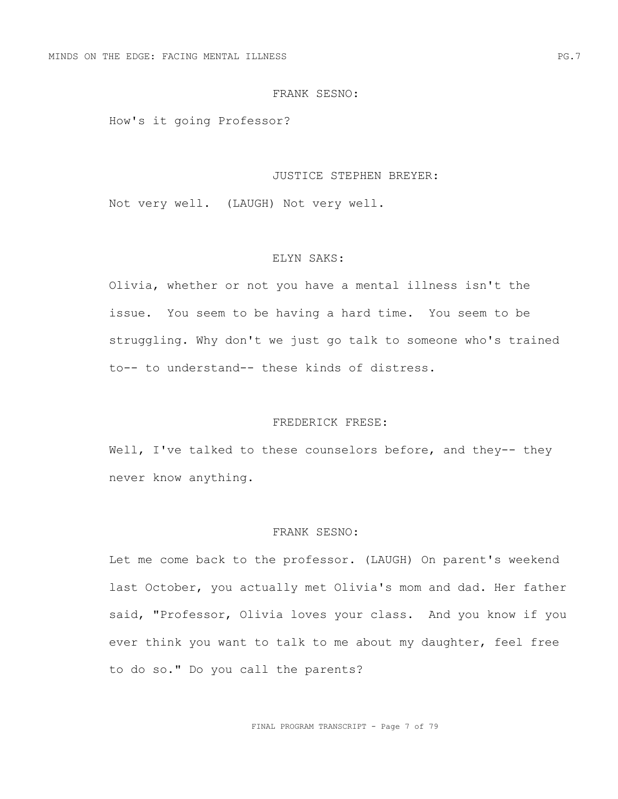How's it going Professor?

#### JUSTICE STEPHEN BREYER:

Not very well. (LAUGH) Not very well.

### ELYN SAKS:

Olivia, whether or not you have a mental illness isn't the issue. You seem to be having a hard time. You seem to be struggling. Why don't we just go talk to someone who's trained to-- to understand-- these kinds of distress.

## FREDERICK FRESE:

Well, I've talked to these counselors before, and they-- they never know anything.

# FRANK SESNO:

Let me come back to the professor. (LAUGH) On parent's weekend last October, you actually met Olivia's mom and dad. Her father said, "Professor, Olivia loves your class. And you know if you ever think you want to talk to me about my daughter, feel free to do so." Do you call the parents?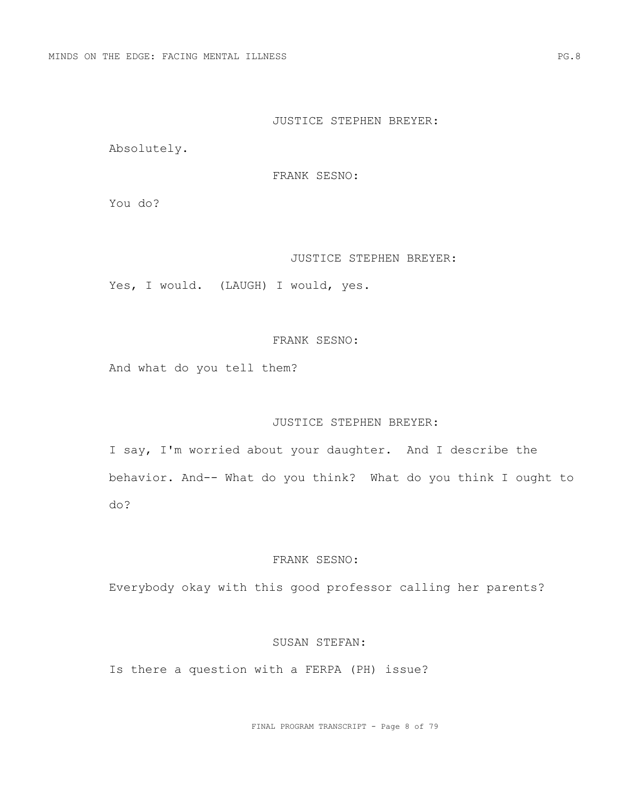### JUSTICE STEPHEN BREYER:

Absolutely.

FRANK SESNO:

You do?

#### JUSTICE STEPHEN BREYER:

Yes, I would. (LAUGH) I would, yes.

# FRANK SESNO:

And what do you tell them?

# JUSTICE STEPHEN BREYER:

I say, I'm worried about your daughter. And I describe the behavior. And-- What do you think? What do you think I ought to do?

# FRANK SESNO:

Everybody okay with this good professor calling her parents?

### SUSAN STEFAN:

Is there a question with a FERPA (PH) issue?

FINAL PROGRAM TRANSCRIPT - Page 8 of 79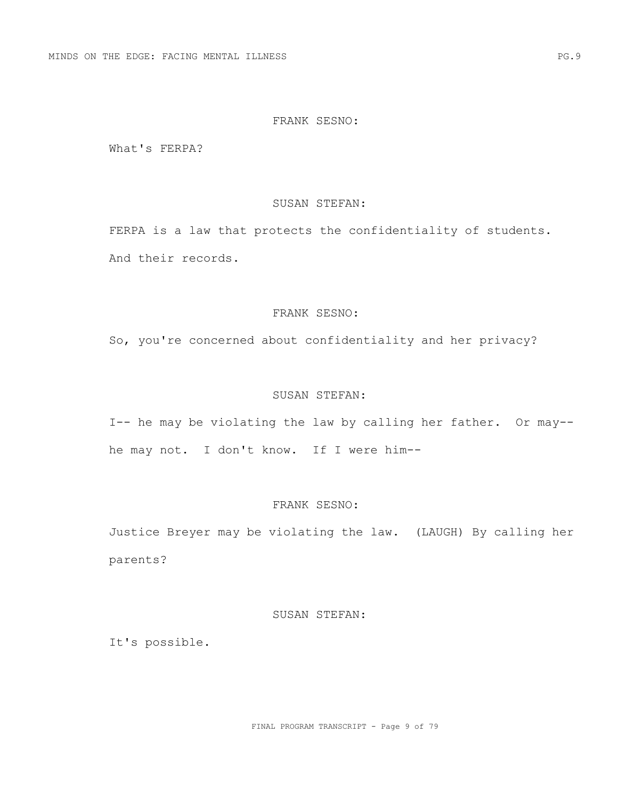What's FERPA?

### SUSAN STEFAN:

FERPA is a law that protects the confidentiality of students. And their records.

# FRANK SESNO:

So, you're concerned about confidentiality and her privacy?

# SUSAN STEFAN:

I-- he may be violating the law by calling her father. Or may- he may not. I don't know. If I were him--

# FRANK SESNO:

Justice Breyer may be violating the law. (LAUGH) By calling her parents?

### SUSAN STEFAN:

It's possible.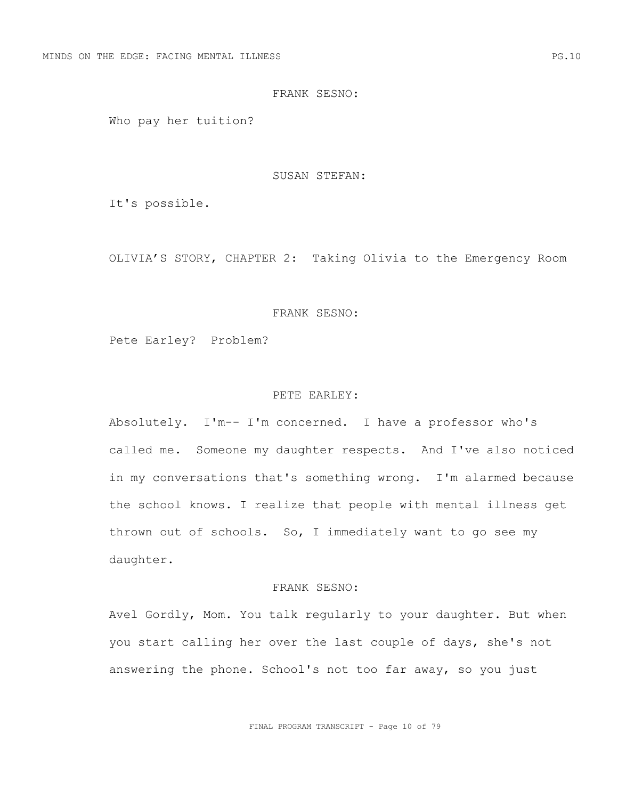Who pay her tuition?

#### SUSAN STEFAN:

It's possible.

OLIVIA'S STORY, CHAPTER 2: Taking Olivia to the Emergency Room

## FRANK SESNO:

Pete Earley? Problem?

## PETE EARLEY:

Absolutely. I'm-- I'm concerned. I have a professor who's called me. Someone my daughter respects. And I've also noticed in my conversations that's something wrong. I'm alarmed because the school knows. I realize that people with mental illness get thrown out of schools. So, I immediately want to go see my daughter.

#### FRANK SESNO:

Avel Gordly, Mom. You talk regularly to your daughter. But when you start calling her over the last couple of days, she's not answering the phone. School's not too far away, so you just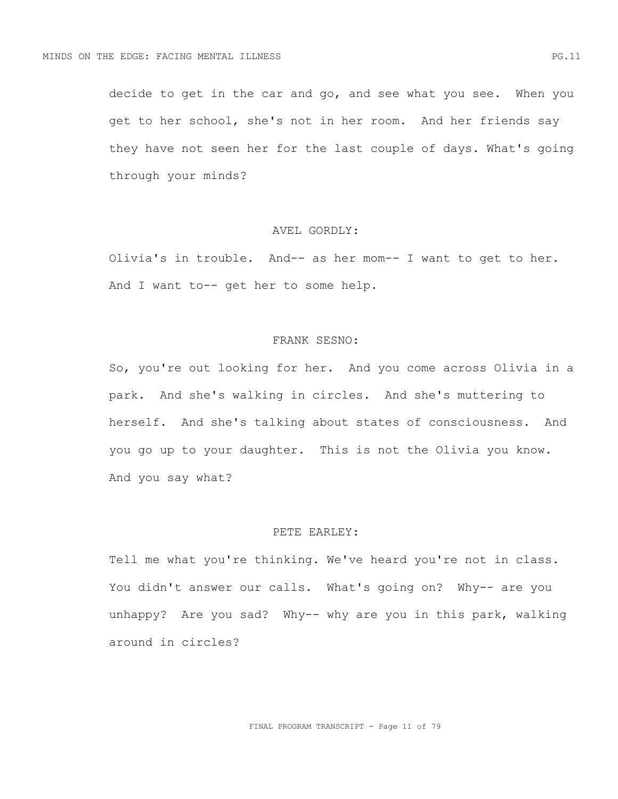decide to get in the car and go, and see what you see. When you get to her school, she's not in her room. And her friends say they have not seen her for the last couple of days. What's going through your minds?

## AVEL GORDLY:

Olivia's in trouble. And-- as her mom-- I want to get to her. And I want to-- get her to some help.

### FRANK SESNO:

So, you're out looking for her. And you come across Olivia in a park. And she's walking in circles. And she's muttering to herself. And she's talking about states of consciousness. And you go up to your daughter. This is not the Olivia you know. And you say what?

# PETE EARLEY:

Tell me what you're thinking. We've heard you're not in class. You didn't answer our calls. What's going on? Why-- are you unhappy? Are you sad? Why-- why are you in this park, walking around in circles?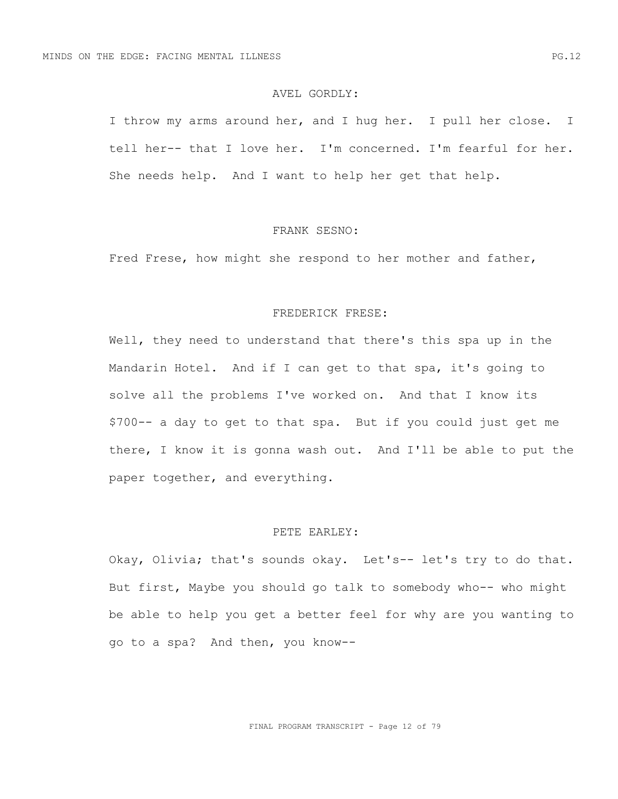### AVEL GORDLY:

I throw my arms around her, and I hug her. I pull her close. I tell her-- that I love her. I'm concerned. I'm fearful for her. She needs help. And I want to help her get that help.

#### FRANK SESNO:

Fred Frese, how might she respond to her mother and father,

## FREDERICK FRESE:

Well, they need to understand that there's this spa up in the Mandarin Hotel. And if I can get to that spa, it's going to solve all the problems I've worked on. And that I know its \$700-- a day to get to that spa. But if you could just get me there, I know it is gonna wash out. And I'll be able to put the paper together, and everything.

### PETE EARLEY:

Okay, Olivia; that's sounds okay. Let's-- let's try to do that. But first, Maybe you should go talk to somebody who-- who might be able to help you get a better feel for why are you wanting to go to a spa? And then, you know--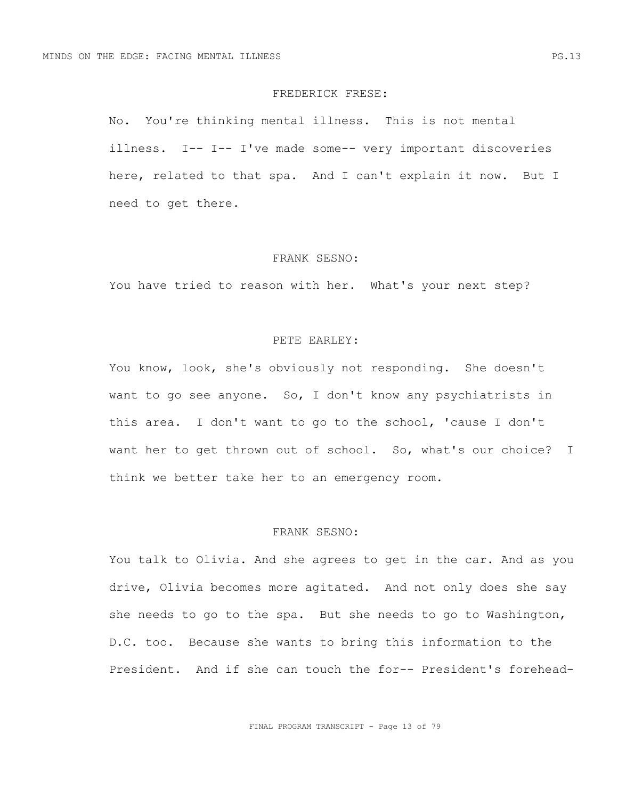#### FREDERICK FRESE:

No. You're thinking mental illness. This is not mental illness. I-- I-- I've made some-- very important discoveries here, related to that spa. And I can't explain it now. But I need to get there.

#### FRANK SESNO:

You have tried to reason with her. What's your next step?

### PETE EARLEY:

You know, look, she's obviously not responding. She doesn't want to go see anyone. So, I don't know any psychiatrists in this area. I don't want to go to the school, 'cause I don't want her to get thrown out of school. So, what's our choice? I think we better take her to an emergency room.

# FRANK SESNO:

You talk to Olivia. And she agrees to get in the car. And as you drive, Olivia becomes more agitated. And not only does she say she needs to go to the spa. But she needs to go to Washington, D.C. too. Because she wants to bring this information to the President. And if she can touch the for-- President's forehead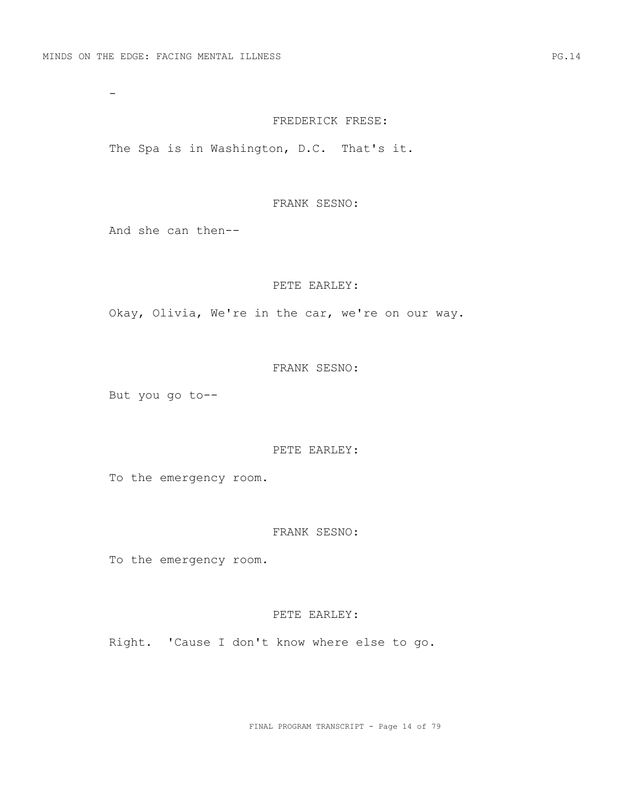-

#### FREDERICK FRESE:

The Spa is in Washington, D.C. That's it.

# FRANK SESNO:

And she can then--

#### PETE EARLEY:

Okay, Olivia, We're in the car, we're on our way.

### FRANK SESNO:

But you go to--

## PETE EARLEY:

To the emergency room.

## FRANK SESNO:

To the emergency room.

### PETE EARLEY:

Right. 'Cause I don't know where else to go.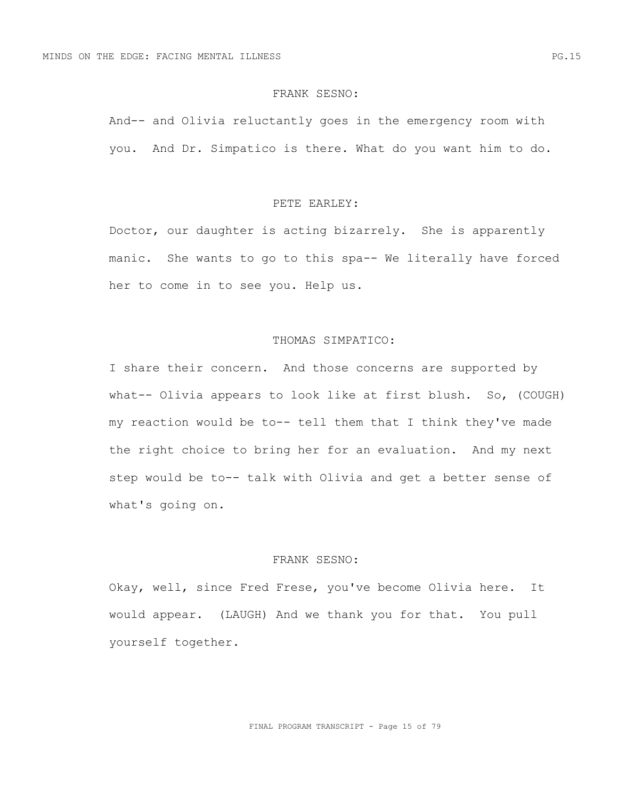And-- and Olivia reluctantly goes in the emergency room with you. And Dr. Simpatico is there. What do you want him to do.

### PETE EARLEY:

Doctor, our daughter is acting bizarrely. She is apparently manic. She wants to go to this spa-- We literally have forced her to come in to see you. Help us.

### THOMAS SIMPATICO:

I share their concern. And those concerns are supported by what-- Olivia appears to look like at first blush. So, (COUGH) my reaction would be to-- tell them that I think they've made the right choice to bring her for an evaluation. And my next step would be to-- talk with Olivia and get a better sense of what's going on.

# FRANK SESNO:

Okay, well, since Fred Frese, you've become Olivia here. It would appear. (LAUGH) And we thank you for that. You pull yourself together.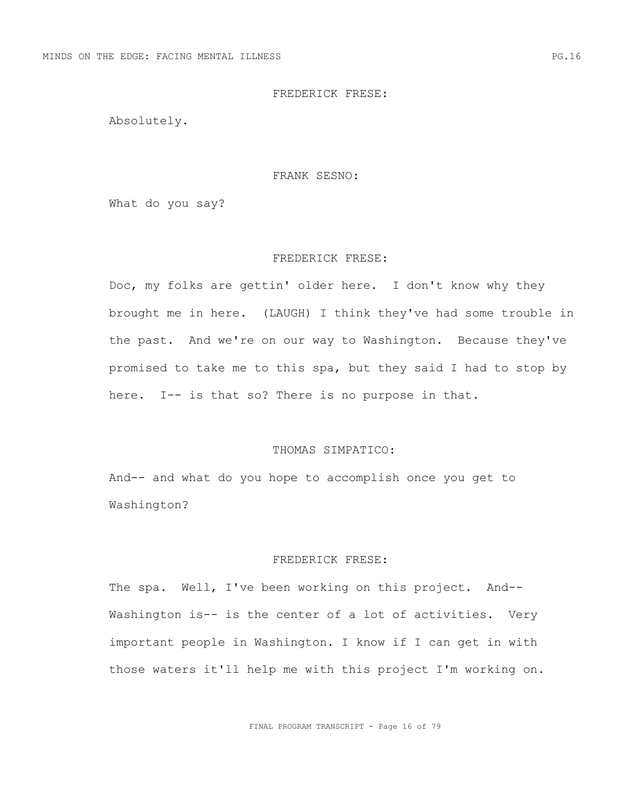Absolutely.

#### FRANK SESNO:

What do you say?

#### FREDERICK FRESE:

Doc, my folks are gettin' older here. I don't know why they brought me in here. (LAUGH) I think they've had some trouble in the past. And we're on our way to Washington. Because they've promised to take me to this spa, but they said I had to stop by here. I-- is that so? There is no purpose in that.

#### THOMAS SIMPATICO:

And-- and what do you hope to accomplish once you get to Washington?

# FREDERICK FRESE:

The spa. Well, I've been working on this project. And-- Washington is-- is the center of a lot of activities. Very important people in Washington. I know if I can get in with those waters it'll help me with this project I'm working on.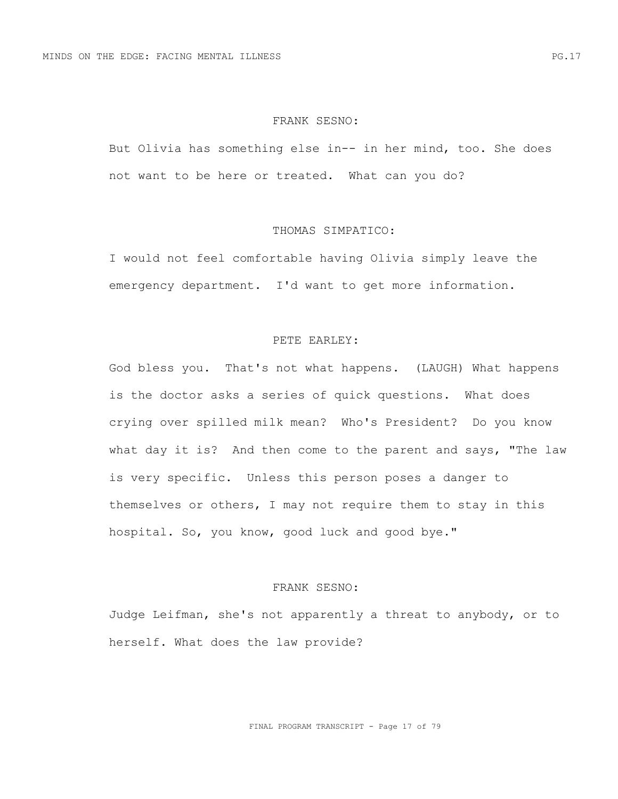But Olivia has something else in-- in her mind, too. She does not want to be here or treated. What can you do?

### THOMAS SIMPATICO:

I would not feel comfortable having Olivia simply leave the emergency department. I'd want to get more information.

### PETE EARLEY:

God bless you. That's not what happens. (LAUGH) What happens is the doctor asks a series of quick questions. What does crying over spilled milk mean? Who's President? Do you know what day it is? And then come to the parent and says, "The law is very specific. Unless this person poses a danger to themselves or others, I may not require them to stay in this hospital. So, you know, good luck and good bye."

## FRANK SESNO:

Judge Leifman, she's not apparently a threat to anybody, or to herself. What does the law provide?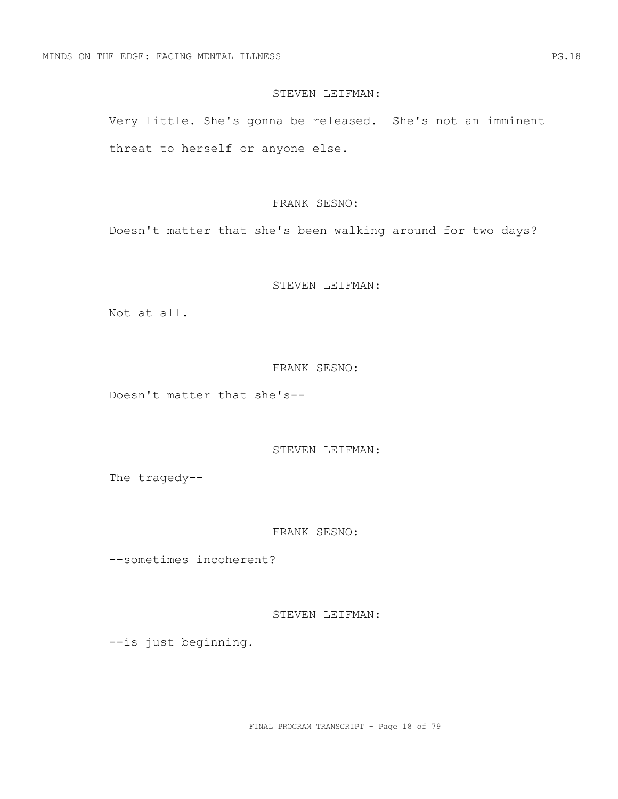### STEVEN LEIFMAN:

Very little. She's gonna be released. She's not an imminent threat to herself or anyone else.

### FRANK SESNO:

Doesn't matter that she's been walking around for two days?

## STEVEN LEIFMAN:

Not at all.

## FRANK SESNO:

Doesn't matter that she's--

STEVEN LEIFMAN:

The tragedy--

# FRANK SESNO:

--sometimes incoherent?

STEVEN LEIFMAN:

--is just beginning.

FINAL PROGRAM TRANSCRIPT - Page 18 of 79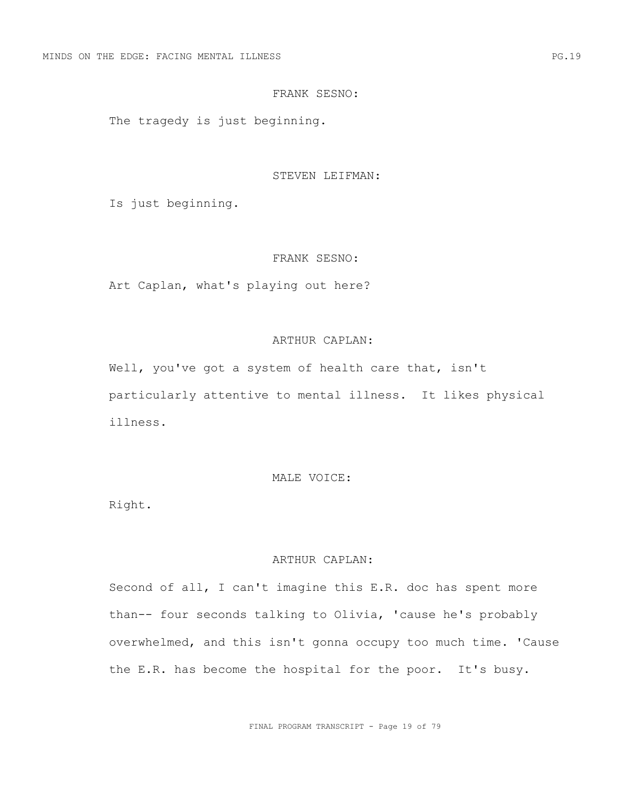The tragedy is just beginning.

#### STEVEN LEIFMAN:

Is just beginning.

#### FRANK SESNO:

Art Caplan, what's playing out here?

## ARTHUR CAPLAN:

Well, you've got a system of health care that, isn't particularly attentive to mental illness. It likes physical illness.

## MALE VOICE:

Right.

## ARTHUR CAPLAN:

Second of all, I can't imagine this E.R. doc has spent more than-- four seconds talking to Olivia, 'cause he's probably overwhelmed, and this isn't gonna occupy too much time. 'Cause the E.R. has become the hospital for the poor. It's busy.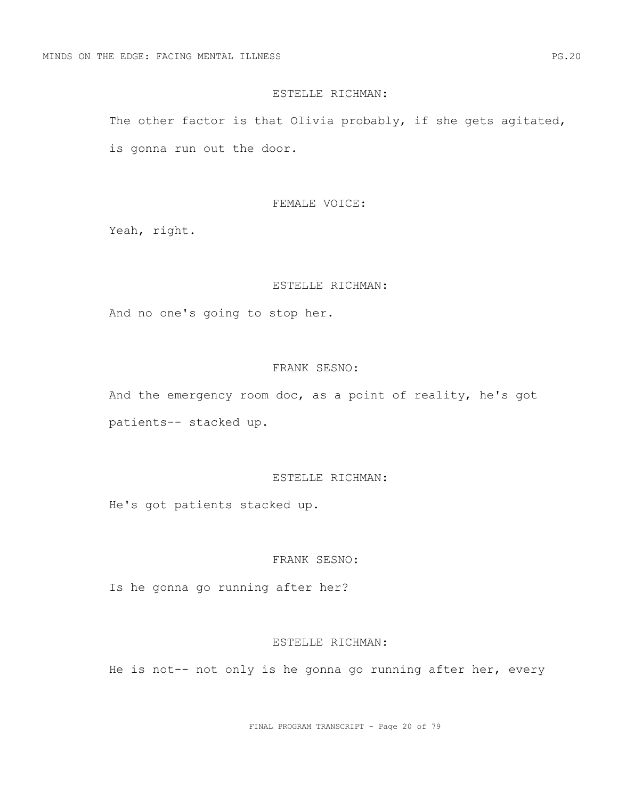#### ESTELLE RICHMAN:

The other factor is that Olivia probably, if she gets agitated, is gonna run out the door.

#### FEMALE VOICE:

Yeah, right.

### ESTELLE RICHMAN:

And no one's going to stop her.

## FRANK SESNO:

And the emergency room doc, as a point of reality, he's got patients-- stacked up.

## ESTELLE RICHMAN:

He's got patients stacked up.

# FRANK SESNO:

Is he gonna go running after her?

#### ESTELLE RICHMAN:

He is not-- not only is he gonna go running after her, every

FINAL PROGRAM TRANSCRIPT - Page 20 of 79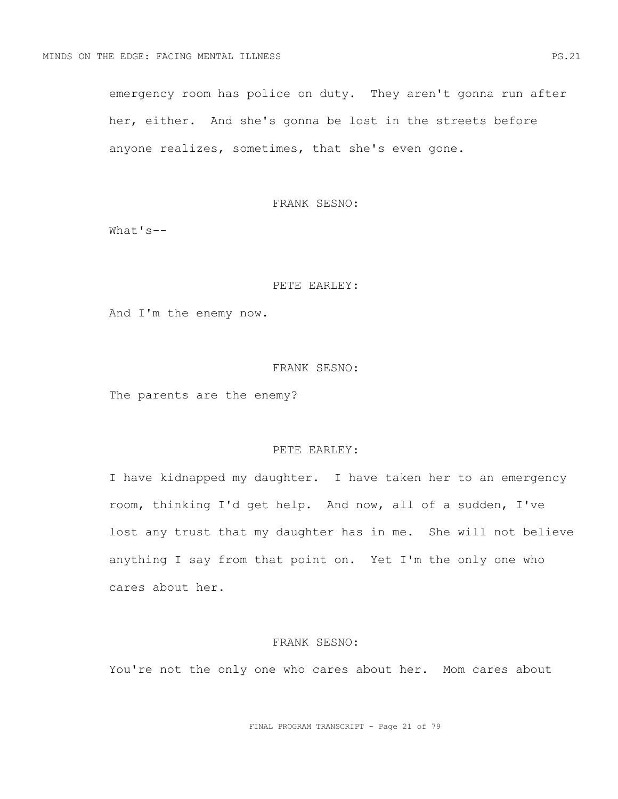emergency room has police on duty. They aren't gonna run after her, either. And she's gonna be lost in the streets before anyone realizes, sometimes, that she's even gone.

### FRANK SESNO:

What's--

### PETE EARLEY:

And I'm the enemy now.

#### FRANK SESNO:

The parents are the enemy?

#### PETE EARLEY:

I have kidnapped my daughter. I have taken her to an emergency room, thinking I'd get help. And now, all of a sudden, I've lost any trust that my daughter has in me. She will not believe anything I say from that point on. Yet I'm the only one who cares about her.

### FRANK SESNO:

You're not the only one who cares about her. Mom cares about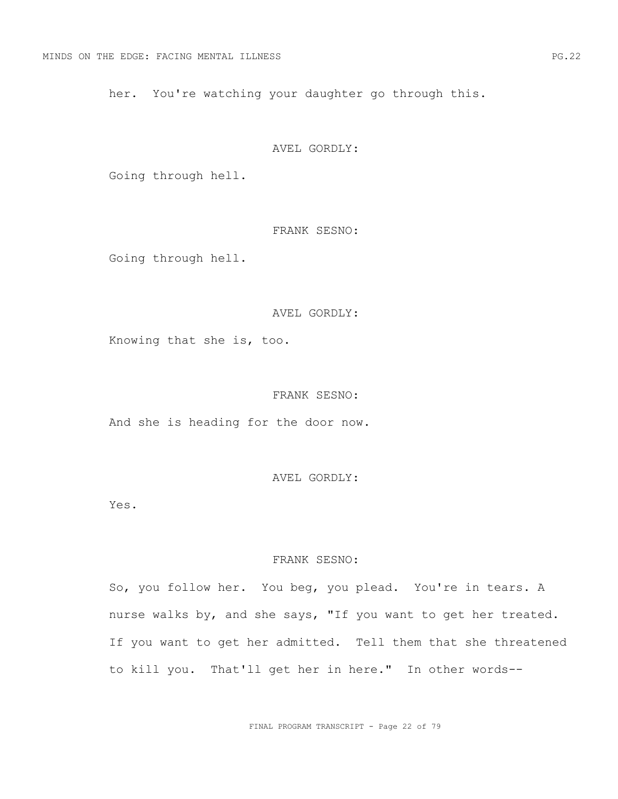her. You're watching your daughter go through this.

#### AVEL GORDLY:

Going through hell.

# FRANK SESNO:

Going through hell.

## AVEL GORDLY:

Knowing that she is, too.

# FRANK SESNO:

And she is heading for the door now.

AVEL GORDLY:

Yes.

## FRANK SESNO:

So, you follow her. You beg, you plead. You're in tears. A nurse walks by, and she says, "If you want to get her treated. If you want to get her admitted. Tell them that she threatened to kill you. That'll get her in here." In other words--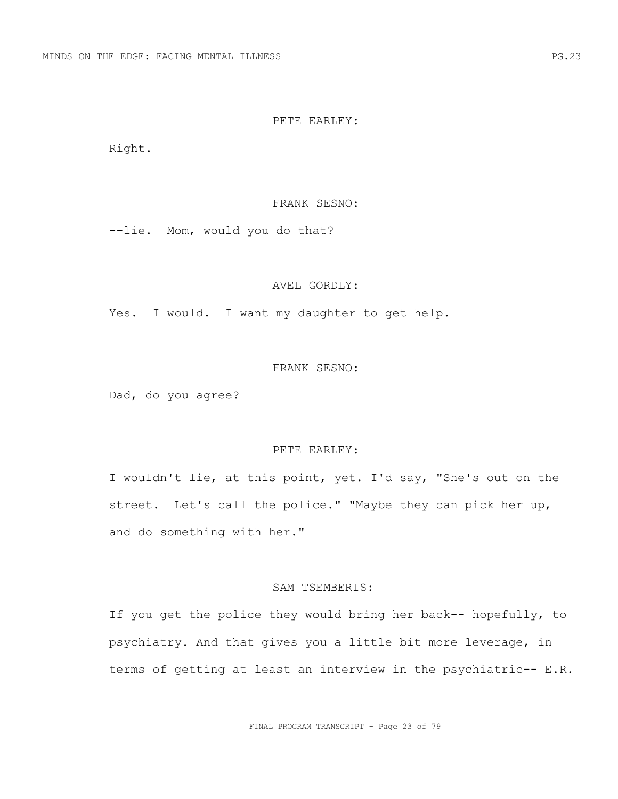#### PETE EARLEY:

Right.

### FRANK SESNO:

--lie. Mom, would you do that?

## AVEL GORDLY:

Yes. I would. I want my daughter to get help.

#### FRANK SESNO:

Dad, do you agree?

## PETE EARLEY:

I wouldn't lie, at this point, yet. I'd say, "She's out on the street. Let's call the police." "Maybe they can pick her up, and do something with her."

#### SAM TSEMBERIS:

If you get the police they would bring her back-- hopefully, to psychiatry. And that gives you a little bit more leverage, in terms of getting at least an interview in the psychiatric-- E.R.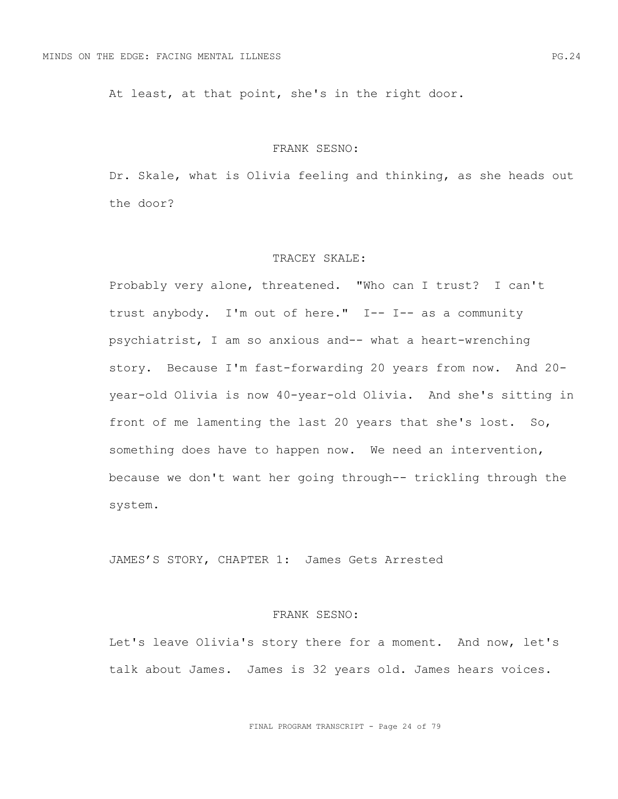At least, at that point, she's in the right door.

#### FRANK SESNO:

Dr. Skale, what is Olivia feeling and thinking, as she heads out the door?

#### TRACEY SKALE:

Probably very alone, threatened. "Who can I trust? I can't trust anybody. I'm out of here." I-- I-- as a community psychiatrist, I am so anxious and-- what a heart-wrenching story. Because I'm fast-forwarding 20 years from now. And 20 year-old Olivia is now 40-year-old Olivia. And she's sitting in front of me lamenting the last 20 years that she's lost. So, something does have to happen now. We need an intervention, because we don't want her going through-- trickling through the system.

JAMES'S STORY, CHAPTER 1: James Gets Arrested

#### FRANK SESNO:

Let's leave Olivia's story there for a moment. And now, let's talk about James. James is 32 years old. James hears voices.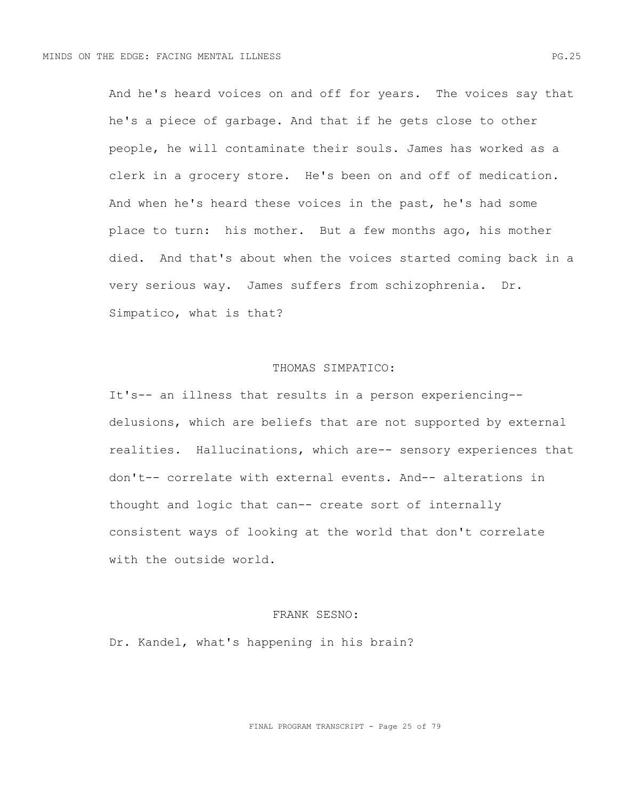And he's heard voices on and off for years. The voices say that he's a piece of garbage. And that if he gets close to other people, he will contaminate their souls. James has worked as a clerk in a grocery store. He's been on and off of medication. And when he's heard these voices in the past, he's had some place to turn: his mother. But a few months ago, his mother died. And that's about when the voices started coming back in a very serious way. James suffers from schizophrenia. Dr. Simpatico, what is that?

#### THOMAS SIMPATICO:

It's-- an illness that results in a person experiencing- delusions, which are beliefs that are not supported by external realities. Hallucinations, which are-- sensory experiences that don't-- correlate with external events. And-- alterations in thought and logic that can-- create sort of internally consistent ways of looking at the world that don't correlate with the outside world.

## FRANK SESNO:

Dr. Kandel, what's happening in his brain?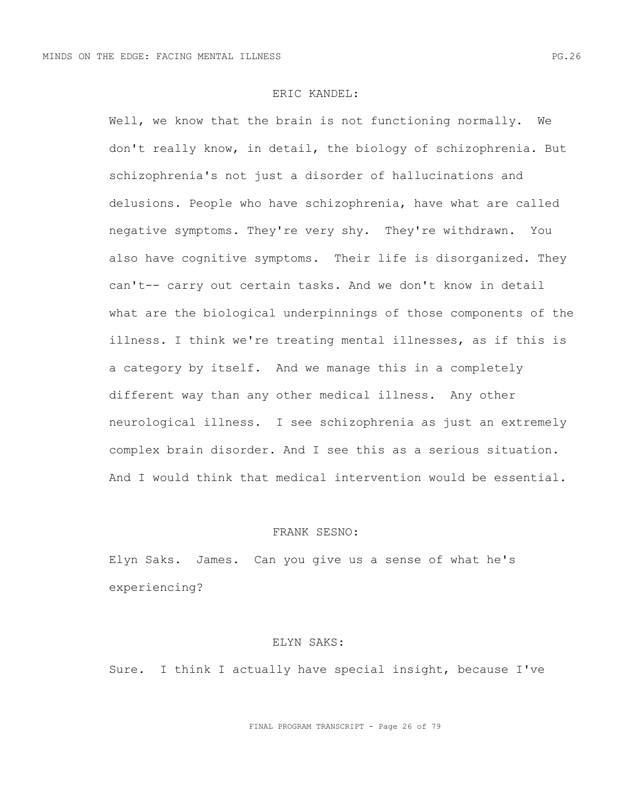### ERIC KANDEL:

Well, we know that the brain is not functioning normally. We don't really know, in detail, the biology of schizophrenia. But schizophrenia's not just a disorder of hallucinations and delusions. People who have schizophrenia, have what are called negative symptoms. They're very shy. They're withdrawn. You also have cognitive symptoms. Their life is disorganized. They can't-- carry out certain tasks. And we don't know in detail what are the biological underpinnings of those components of the illness. I think we're treating mental illnesses, as if this is a category by itself. And we manage this in a completely different way than any other medical illness. Any other neurological illness. I see schizophrenia as just an extremely complex brain disorder. And I see this as a serious situation. And I would think that medical intervention would be essential.

# FRANK SESNO:

Elyn Saks. James. Can you give us a sense of what he's experiencing?

#### ELYN SAKS:

Sure. I think I actually have special insight, because I've

FINAL PROGRAM TRANSCRIPT - Page 26 of 79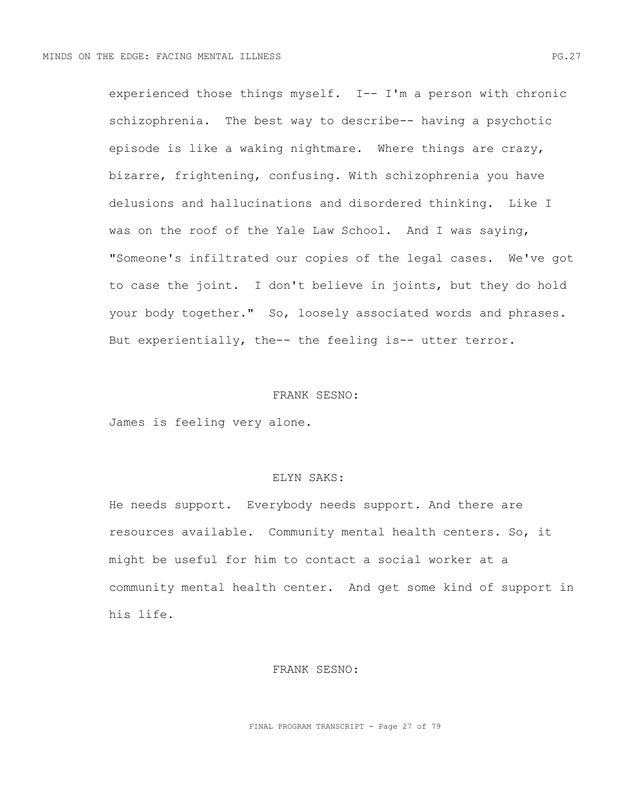experienced those things myself. I-- I'm a person with chronic schizophrenia. The best way to describe-- having a psychotic episode is like a waking nightmare. Where things are crazy, bizarre, frightening, confusing. With schizophrenia you have delusions and hallucinations and disordered thinking. Like I was on the roof of the Yale Law School. And I was saying, "Someone's infiltrated our copies of the legal cases. We've got to case the joint. I don't believe in joints, but they do hold your body together." So, loosely associated words and phrases. But experientially, the-- the feeling is-- utter terror.

## FRANK SESNO:

James is feeling very alone.

# ELYN SAKS:

He needs support. Everybody needs support. And there are resources available. Community mental health centers. So, it might be useful for him to contact a social worker at a community mental health center. And get some kind of support in his life.

### FRANK SESNO:

FINAL PROGRAM TRANSCRIPT - Page 27 of 79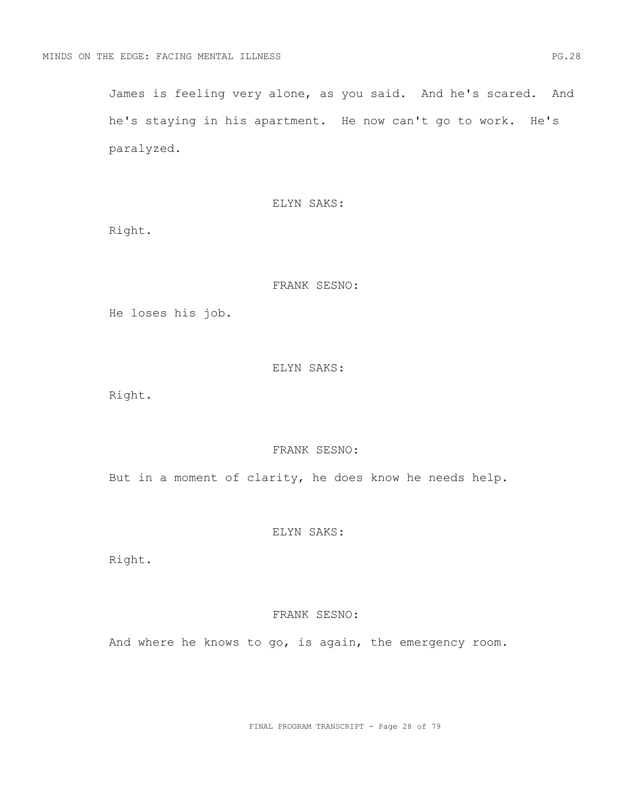James is feeling very alone, as you said. And he's scared. And he's staying in his apartment. He now can't go to work. He's paralyzed.

ELYN SAKS:

Right.

## FRANK SESNO:

He loses his job.

## ELYN SAKS:

Right.

## FRANK SESNO:

But in a moment of clarity, he does know he needs help.

# ELYN SAKS:

Right.

### FRANK SESNO:

And where he knows to go, is again, the emergency room.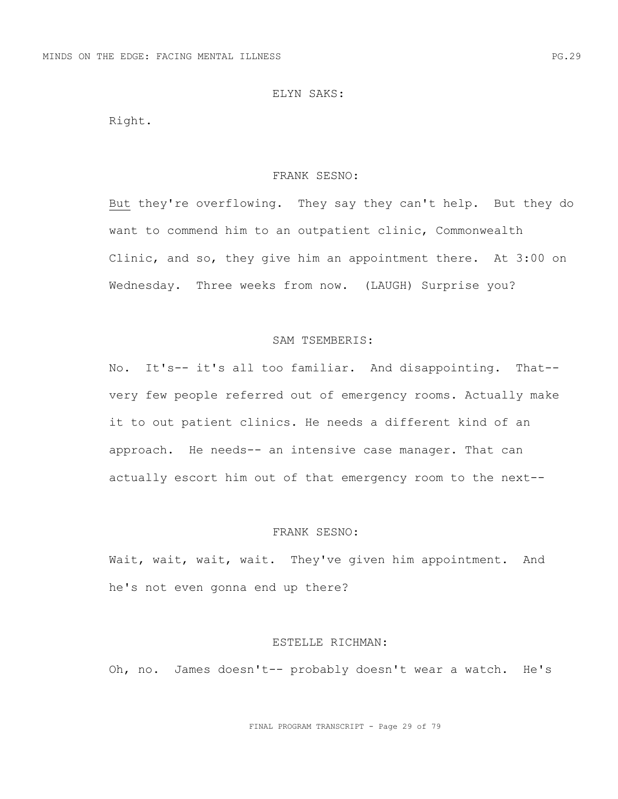## ELYN SAKS:

Right.

#### FRANK SESNO:

But they're overflowing. They say they can't help. But they do want to commend him to an outpatient clinic, Commonwealth Clinic, and so, they give him an appointment there. At 3:00 on Wednesday. Three weeks from now. (LAUGH) Surprise you?

### SAM TSEMBERIS:

No. It's-- it's all too familiar. And disappointing. That- very few people referred out of emergency rooms. Actually make it to out patient clinics. He needs a different kind of an approach. He needs-- an intensive case manager. That can actually escort him out of that emergency room to the next--

# FRANK SESNO:

Wait, wait, wait, wait. They've given him appointment. And he's not even gonna end up there?

#### ESTELLE RICHMAN:

Oh, no. James doesn't-- probably doesn't wear a watch. He's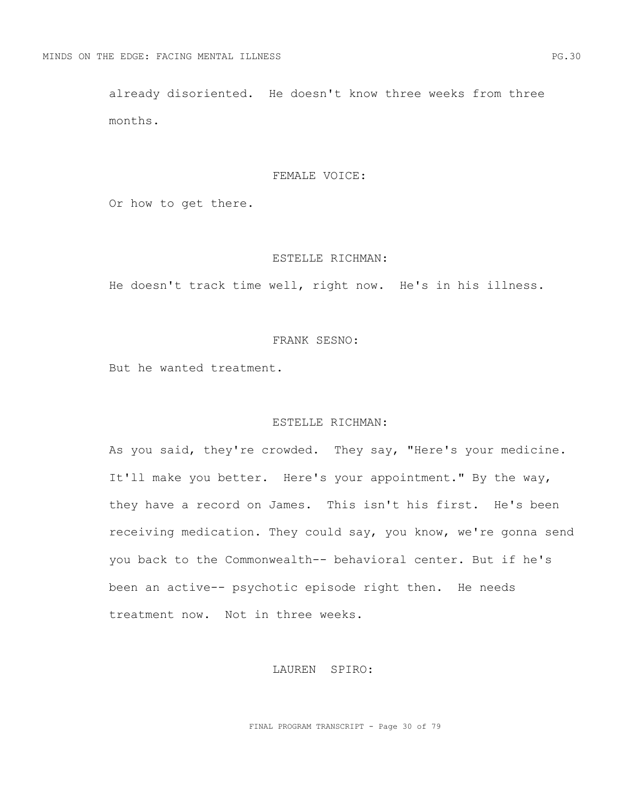already disoriented. He doesn't know three weeks from three months.

#### FEMALE VOICE:

Or how to get there.

#### ESTELLE RICHMAN:

He doesn't track time well, right now. He's in his illness.

## FRANK SESNO:

But he wanted treatment.

# ESTELLE RICHMAN:

As you said, they're crowded. They say, "Here's your medicine. It'll make you better. Here's your appointment." By the way, they have a record on James. This isn't his first. He's been receiving medication. They could say, you know, we're gonna send you back to the Commonwealth-- behavioral center. But if he's been an active-- psychotic episode right then. He needs treatment now. Not in three weeks.

### LAUREN SPIRO:

FINAL PROGRAM TRANSCRIPT - Page 30 of 79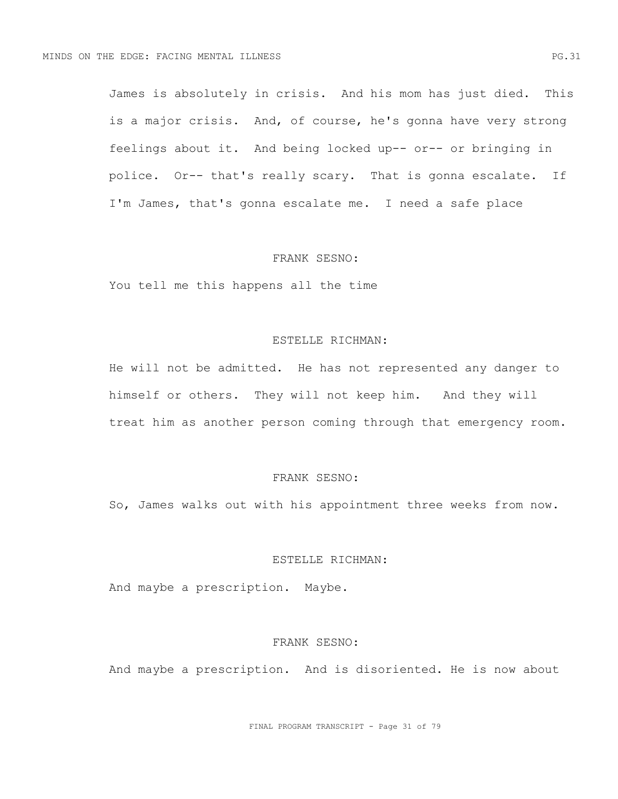James is absolutely in crisis. And his mom has just died. This is a major crisis. And, of course, he's gonna have very strong feelings about it. And being locked up-- or-- or bringing in police. Or-- that's really scary. That is gonna escalate. If I'm James, that's gonna escalate me. I need a safe place

#### FRANK SESNO:

You tell me this happens all the time

## ESTELLE RICHMAN:

He will not be admitted. He has not represented any danger to himself or others. They will not keep him. And they will treat him as another person coming through that emergency room.

# FRANK SESNO:

So, James walks out with his appointment three weeks from now.

# ESTELLE RICHMAN:

And maybe a prescription. Maybe.

#### FRANK SESNO:

And maybe a prescription. And is disoriented. He is now about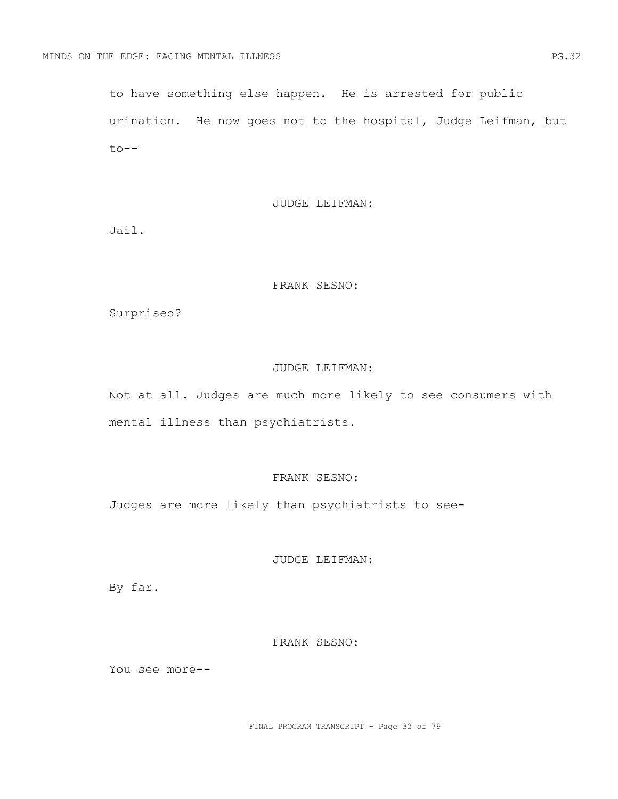to have something else happen. He is arrested for public urination. He now goes not to the hospital, Judge Leifman, but to--

#### JUDGE LEIFMAN:

Jail.

## FRANK SESNO:

Surprised?

## JUDGE LEIFMAN:

Not at all. Judges are much more likely to see consumers with mental illness than psychiatrists.

# FRANK SESNO:

Judges are more likely than psychiatrists to see-

JUDGE LEIFMAN:

By far.

### FRANK SESNO:

You see more--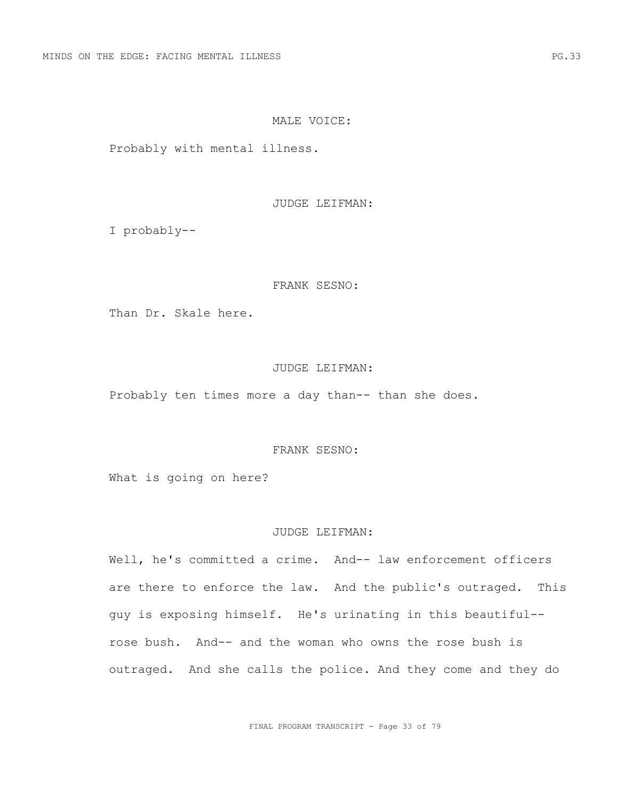### MALE VOICE:

Probably with mental illness.

JUDGE LEIFMAN:

I probably--

## FRANK SESNO:

Than Dr. Skale here.

### JUDGE LEIFMAN:

Probably ten times more a day than-- than she does.

#### FRANK SESNO:

What is going on here?

# JUDGE LEIFMAN:

Well, he's committed a crime. And-- law enforcement officers are there to enforce the law. And the public's outraged. This guy is exposing himself. He's urinating in this beautiful- rose bush. And-- and the woman who owns the rose bush is outraged. And she calls the police. And they come and they do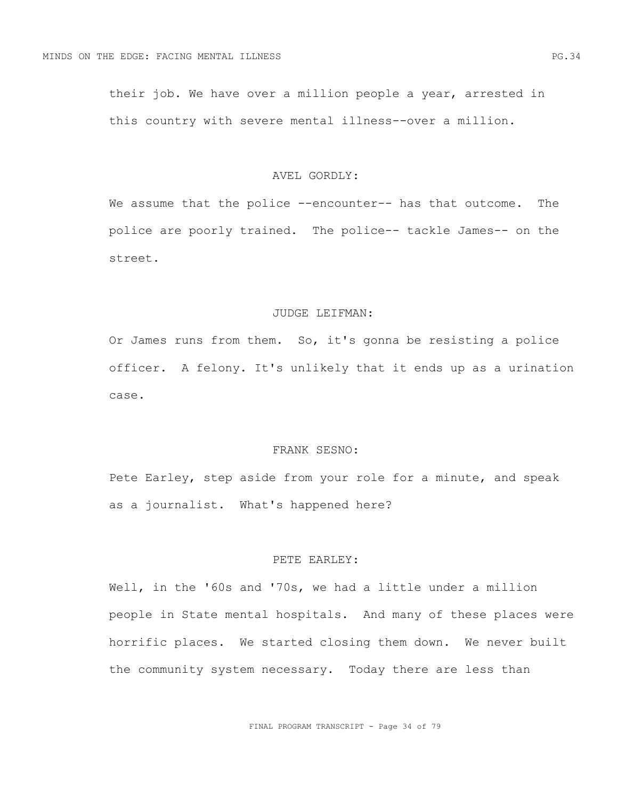their job. We have over a million people a year, arrested in this country with severe mental illness--over a million.

#### AVEL GORDLY:

We assume that the police --encounter-- has that outcome. The police are poorly trained. The police-- tackle James-- on the street.

## JUDGE LEIFMAN:

Or James runs from them. So, it's gonna be resisting a police officer. A felony. It's unlikely that it ends up as a urination case.

#### FRANK SESNO:

Pete Earley, step aside from your role for a minute, and speak as a journalist. What's happened here?

# PETE EARLEY:

Well, in the '60s and '70s, we had a little under a million people in State mental hospitals. And many of these places were horrific places. We started closing them down. We never built the community system necessary. Today there are less than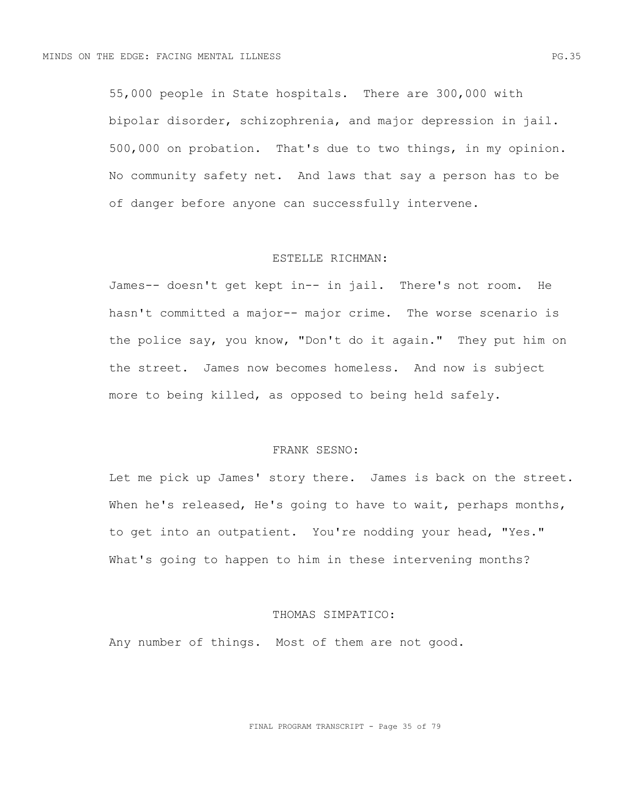55,000 people in State hospitals. There are 300,000 with bipolar disorder, schizophrenia, and major depression in jail. 500,000 on probation. That's due to two things, in my opinion. No community safety net. And laws that say a person has to be of danger before anyone can successfully intervene.

#### ESTELLE RICHMAN:

James-- doesn't get kept in-- in jail. There's not room. He hasn't committed a major-- major crime. The worse scenario is the police say, you know, "Don't do it again." They put him on the street. James now becomes homeless. And now is subject more to being killed, as opposed to being held safely.

#### FRANK SESNO:

Let me pick up James' story there. James is back on the street. When he's released, He's going to have to wait, perhaps months, to get into an outpatient. You're nodding your head, "Yes." What's going to happen to him in these intervening months?

### THOMAS SIMPATICO:

Any number of things. Most of them are not good.

FINAL PROGRAM TRANSCRIPT - Page 35 of 79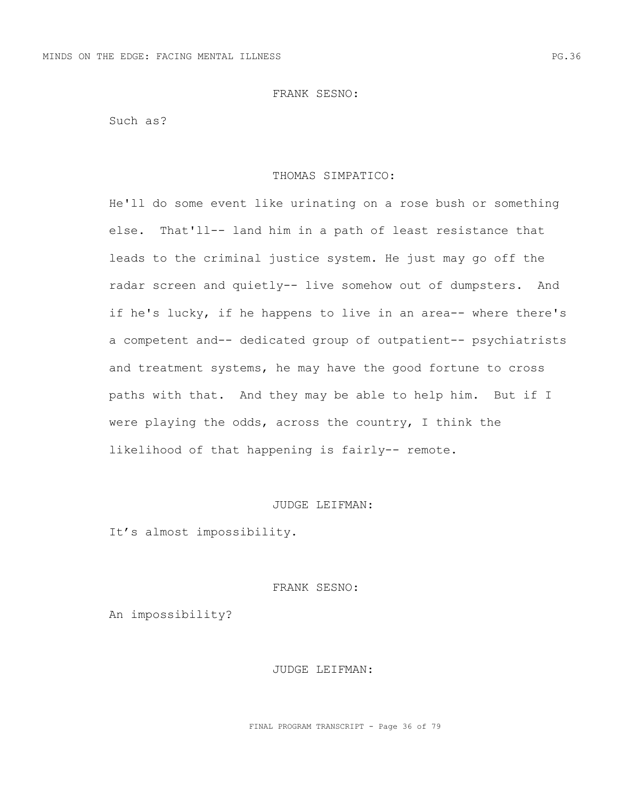Such as?

#### THOMAS SIMPATICO:

He'll do some event like urinating on a rose bush or something else. That'll-- land him in a path of least resistance that leads to the criminal justice system. He just may go off the radar screen and quietly-- live somehow out of dumpsters. And if he's lucky, if he happens to live in an area-- where there's a competent and-- dedicated group of outpatient-- psychiatrists and treatment systems, he may have the good fortune to cross paths with that. And they may be able to help him. But if I were playing the odds, across the country, I think the likelihood of that happening is fairly-- remote.

# JUDGE LEIFMAN:

It's almost impossibility.

#### FRANK SESNO:

An impossibility?

### JUDGE LEIFMAN: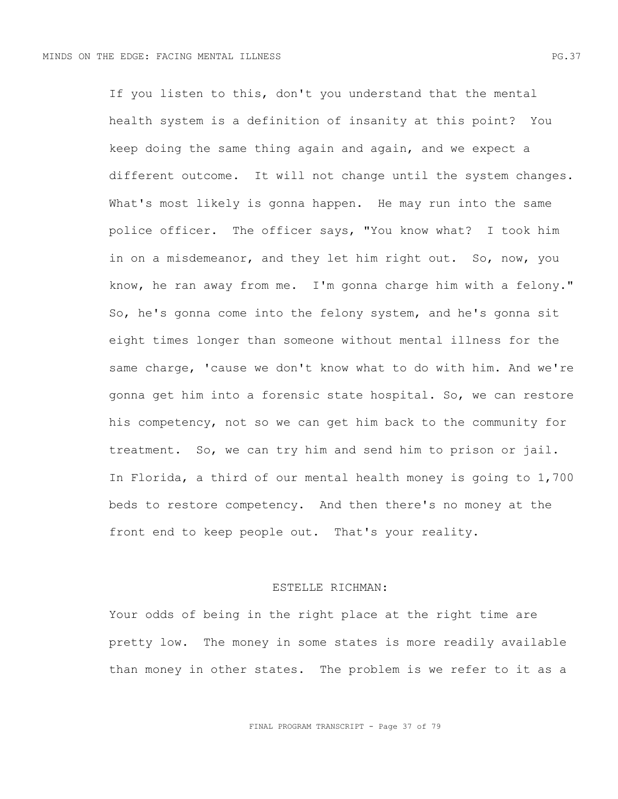If you listen to this, don't you understand that the mental health system is a definition of insanity at this point? You keep doing the same thing again and again, and we expect a different outcome. It will not change until the system changes. What's most likely is gonna happen. He may run into the same police officer. The officer says, "You know what? I took him in on a misdemeanor, and they let him right out. So, now, you know, he ran away from me. I'm gonna charge him with a felony." So, he's gonna come into the felony system, and he's gonna sit eight times longer than someone without mental illness for the same charge, 'cause we don't know what to do with him. And we're gonna get him into a forensic state hospital. So, we can restore his competency, not so we can get him back to the community for treatment. So, we can try him and send him to prison or jail. In Florida, a third of our mental health money is going to 1,700 beds to restore competency. And then there's no money at the front end to keep people out. That's your reality.

## ESTELLE RICHMAN:

Your odds of being in the right place at the right time are pretty low. The money in some states is more readily available than money in other states. The problem is we refer to it as a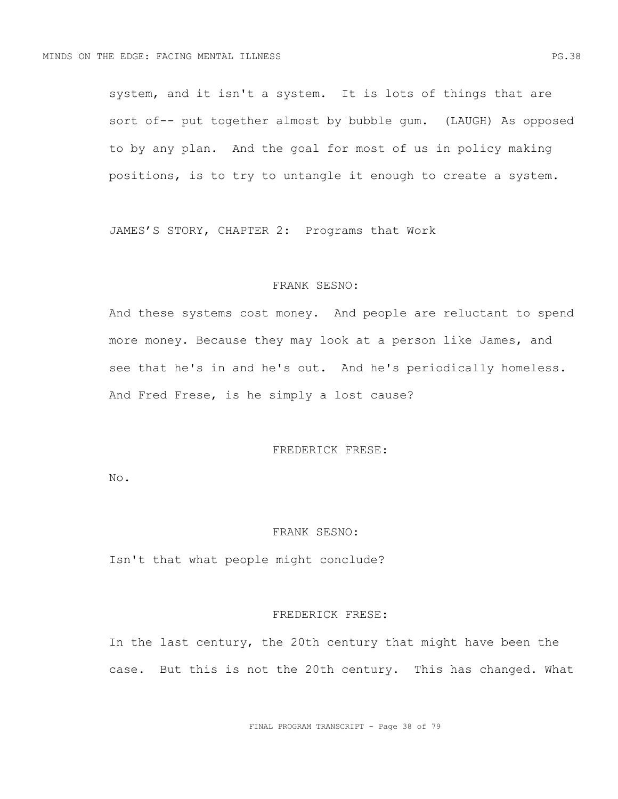system, and it isn't a system. It is lots of things that are sort of-- put together almost by bubble gum. (LAUGH) As opposed to by any plan. And the goal for most of us in policy making positions, is to try to untangle it enough to create a system.

JAMES'S STORY, CHAPTER 2: Programs that Work

## FRANK SESNO:

And these systems cost money. And people are reluctant to spend more money. Because they may look at a person like James, and see that he's in and he's out. And he's periodically homeless. And Fred Frese, is he simply a lost cause?

## FREDERICK FRESE:

No.

## FRANK SESNO:

Isn't that what people might conclude?

#### FREDERICK FRESE:

In the last century, the 20th century that might have been the case. But this is not the 20th century. This has changed. What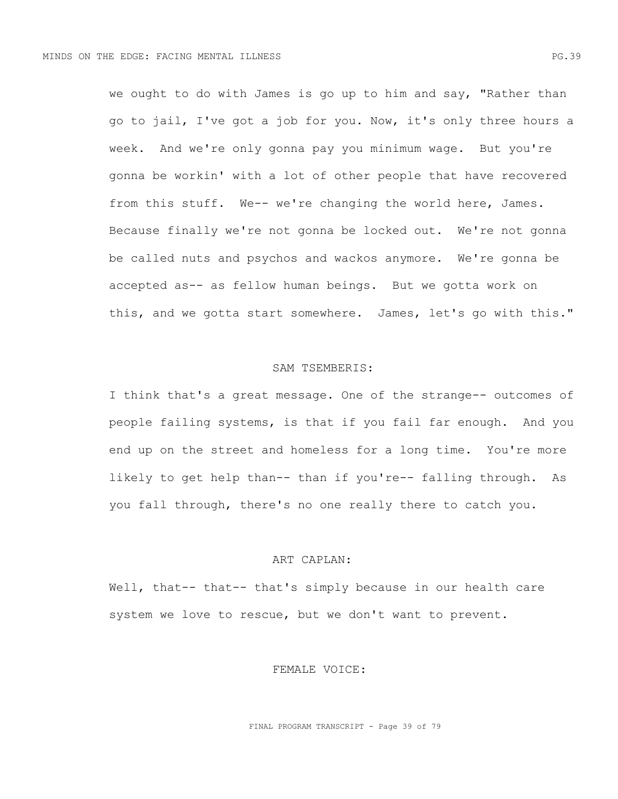we ought to do with James is go up to him and say, "Rather than go to jail, I've got a job for you. Now, it's only three hours a week. And we're only gonna pay you minimum wage. But you're gonna be workin' with a lot of other people that have recovered from this stuff. We-- we're changing the world here, James. Because finally we're not gonna be locked out. We're not gonna be called nuts and psychos and wackos anymore. We're gonna be accepted as-- as fellow human beings. But we gotta work on this, and we gotta start somewhere. James, let's go with this."

### SAM TSEMBERIS:

I think that's a great message. One of the strange-- outcomes of people failing systems, is that if you fail far enough. And you end up on the street and homeless for a long time. You're more likely to get help than-- than if you're-- falling through. As you fall through, there's no one really there to catch you.

## ART CAPLAN:

Well, that-- that-- that's simply because in our health care system we love to rescue, but we don't want to prevent.

## FEMALE VOICE:

FINAL PROGRAM TRANSCRIPT - Page 39 of 79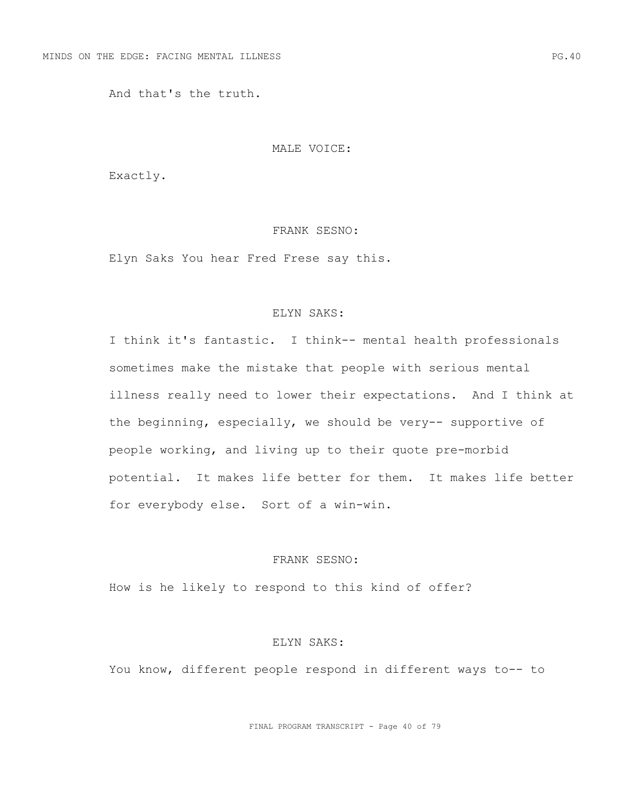And that's the truth.

### MALE VOICE:

Exactly.

## FRANK SESNO:

Elyn Saks You hear Fred Frese say this.

# ELYN SAKS:

I think it's fantastic. I think-- mental health professionals sometimes make the mistake that people with serious mental illness really need to lower their expectations. And I think at the beginning, especially, we should be very-- supportive of people working, and living up to their quote pre-morbid potential. It makes life better for them. It makes life better for everybody else. Sort of a win-win.

# FRANK SESNO:

How is he likely to respond to this kind of offer?

#### ELYN SAKS:

You know, different people respond in different ways to-- to

FINAL PROGRAM TRANSCRIPT - Page 40 of 79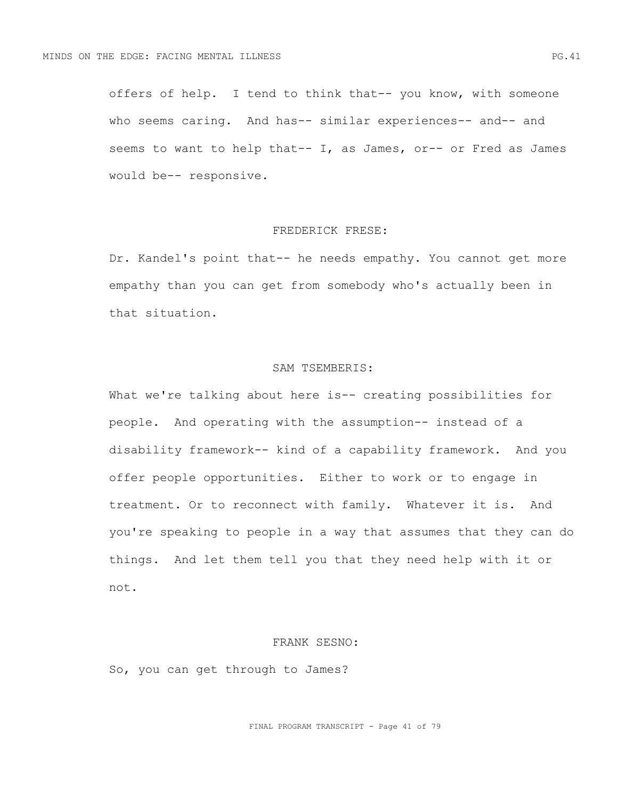offers of help. I tend to think that-- you know, with someone who seems caring. And has-- similar experiences-- and-- and seems to want to help that-- I, as James, or-- or Fred as James would be-- responsive.

## FREDERICK FRESE:

Dr. Kandel's point that-- he needs empathy. You cannot get more empathy than you can get from somebody who's actually been in that situation.

## SAM TSEMBERIS:

What we're talking about here is-- creating possibilities for people. And operating with the assumption-- instead of a disability framework-- kind of a capability framework. And you offer people opportunities. Either to work or to engage in treatment. Or to reconnect with family. Whatever it is. And you're speaking to people in a way that assumes that they can do things. And let them tell you that they need help with it or not.

#### FRANK SESNO:

So, you can get through to James?

FINAL PROGRAM TRANSCRIPT - Page 41 of 79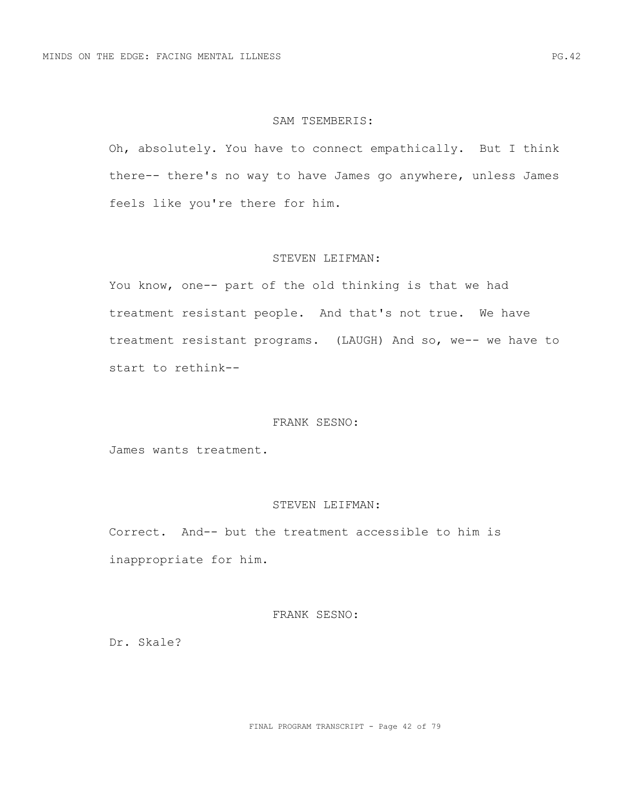### SAM TSEMBERIS:

Oh, absolutely. You have to connect empathically. But I think there-- there's no way to have James go anywhere, unless James feels like you're there for him.

### STEVEN LEIFMAN:

You know, one-- part of the old thinking is that we had treatment resistant people. And that's not true. We have treatment resistant programs. (LAUGH) And so, we-- we have to start to rethink--

## FRANK SESNO:

James wants treatment.

# STEVEN LEIFMAN:

Correct. And-- but the treatment accessible to him is inappropriate for him.

## FRANK SESNO:

Dr. Skale?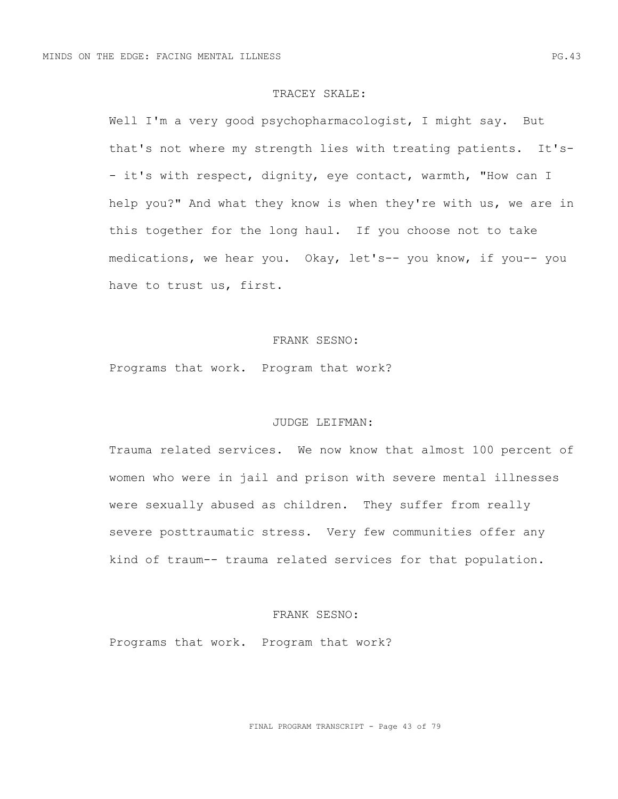### TRACEY SKALE:

Well I'm a very good psychopharmacologist, I might say. But that's not where my strength lies with treating patients. It's- - it's with respect, dignity, eye contact, warmth, "How can I help you?" And what they know is when they're with us, we are in this together for the long haul. If you choose not to take medications, we hear you. Okay, let's-- you know, if you-- you have to trust us, first.

## FRANK SESNO:

Programs that work. Program that work?

## JUDGE LEIFMAN:

Trauma related services. We now know that almost 100 percent of women who were in jail and prison with severe mental illnesses were sexually abused as children. They suffer from really severe posttraumatic stress. Very few communities offer any kind of traum-- trauma related services for that population.

## FRANK SESNO:

Programs that work. Program that work?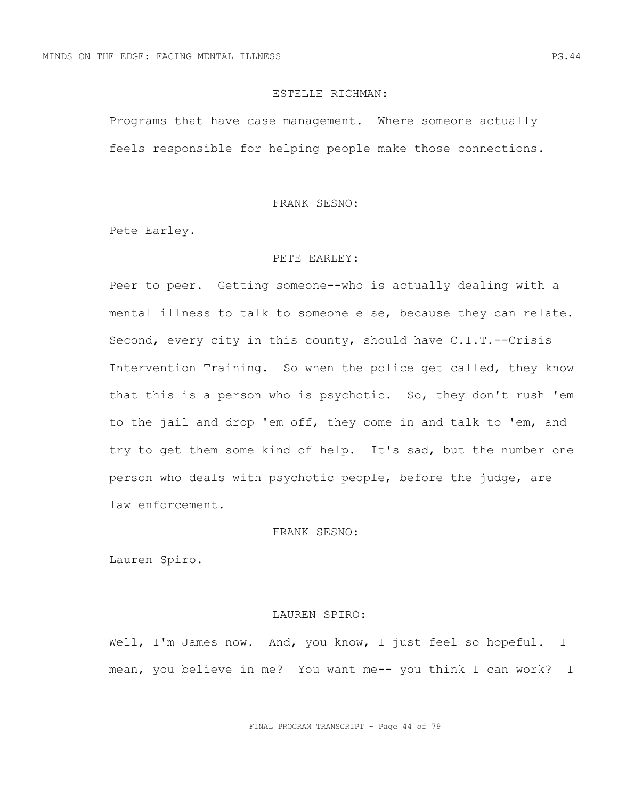## ESTELLE RICHMAN:

Programs that have case management. Where someone actually feels responsible for helping people make those connections.

#### FRANK SESNO:

Pete Earley.

#### PETE EARLEY:

Peer to peer. Getting someone--who is actually dealing with a mental illness to talk to someone else, because they can relate. Second, every city in this county, should have C.I.T.--Crisis Intervention Training. So when the police get called, they know that this is a person who is psychotic. So, they don't rush 'em to the jail and drop 'em off, they come in and talk to 'em, and try to get them some kind of help. It's sad, but the number one person who deals with psychotic people, before the judge, are law enforcement.

# FRANK SESNO:

Lauren Spiro.

#### LAUREN SPIRO:

Well, I'm James now. And, you know, I just feel so hopeful. I mean, you believe in me? You want me-- you think I can work? I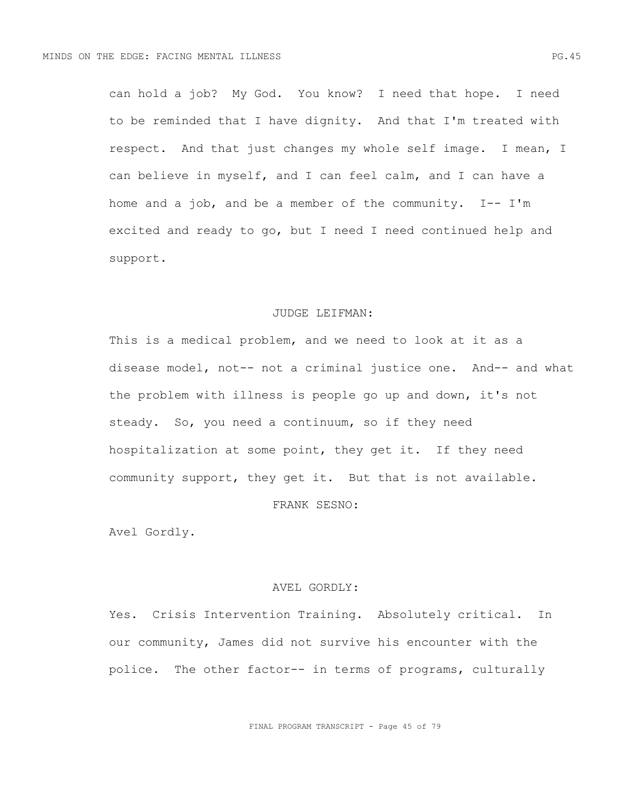can hold a job? My God. You know? I need that hope. I need to be reminded that I have dignity. And that I'm treated with respect. And that just changes my whole self image. I mean, I can believe in myself, and I can feel calm, and I can have a home and a job, and be a member of the community.  $I--I'm$ excited and ready to go, but I need I need continued help and support.

#### JUDGE LEIFMAN:

This is a medical problem, and we need to look at it as a disease model, not-- not a criminal justice one. And-- and what the problem with illness is people go up and down, it's not steady. So, you need a continuum, so if they need hospitalization at some point, they get it. If they need community support, they get it. But that is not available.

# FRANK SESNO:

Avel Gordly.

#### AVEL GORDLY:

Yes. Crisis Intervention Training. Absolutely critical. In our community, James did not survive his encounter with the police. The other factor-- in terms of programs, culturally

FINAL PROGRAM TRANSCRIPT - Page 45 of 79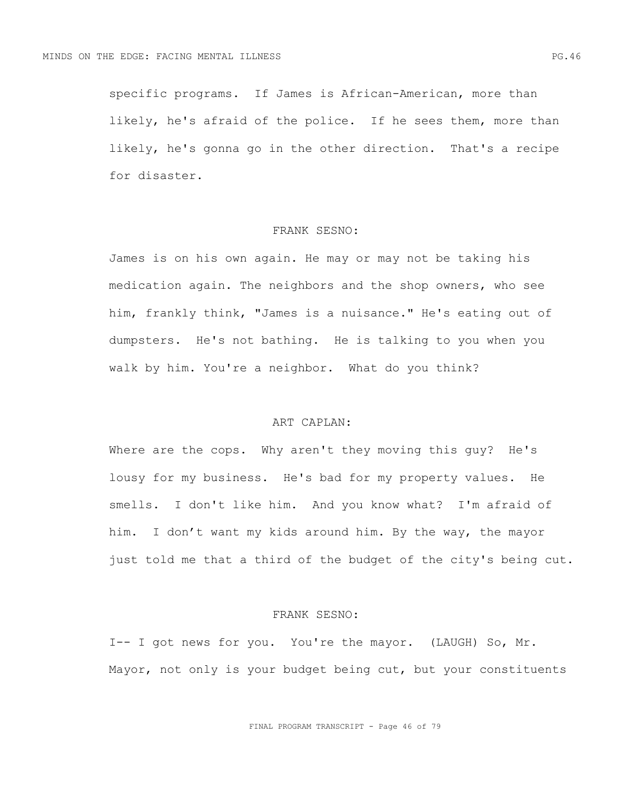specific programs. If James is African-American, more than likely, he's afraid of the police. If he sees them, more than likely, he's gonna go in the other direction. That's a recipe for disaster.

## FRANK SESNO:

James is on his own again. He may or may not be taking his medication again. The neighbors and the shop owners, who see him, frankly think, "James is a nuisance." He's eating out of dumpsters. He's not bathing. He is talking to you when you walk by him. You're a neighbor. What do you think?

# ART CAPLAN:

Where are the cops. Why aren't they moving this guy? He's lousy for my business. He's bad for my property values. He smells. I don't like him. And you know what? I'm afraid of him. I don't want my kids around him. By the way, the mayor just told me that a third of the budget of the city's being cut.

## FRANK SESNO:

I-- I got news for you. You're the mayor. (LAUGH) So, Mr. Mayor, not only is your budget being cut, but your constituents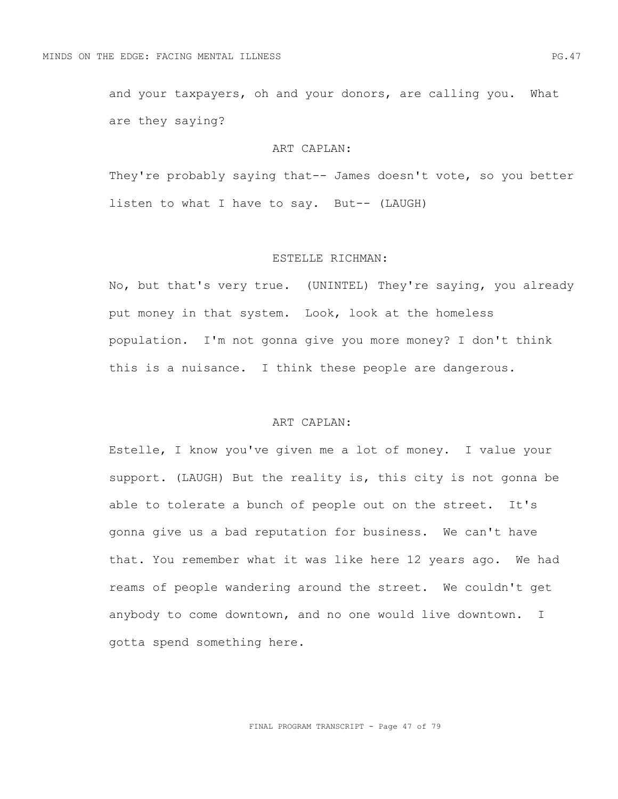and your taxpayers, oh and your donors, are calling you. What are they saying?

### ART CAPLAN:

They're probably saying that-- James doesn't vote, so you better listen to what I have to say. But-- (LAUGH)

#### ESTELLE RICHMAN:

No, but that's very true. (UNINTEL) They're saying, you already put money in that system. Look, look at the homeless population. I'm not gonna give you more money? I don't think this is a nuisance. I think these people are dangerous.

# ART CAPLAN:

Estelle, I know you've given me a lot of money. I value your support. (LAUGH) But the reality is, this city is not gonna be able to tolerate a bunch of people out on the street. It's gonna give us a bad reputation for business. We can't have that. You remember what it was like here 12 years ago. We had reams of people wandering around the street. We couldn't get anybody to come downtown, and no one would live downtown. I gotta spend something here.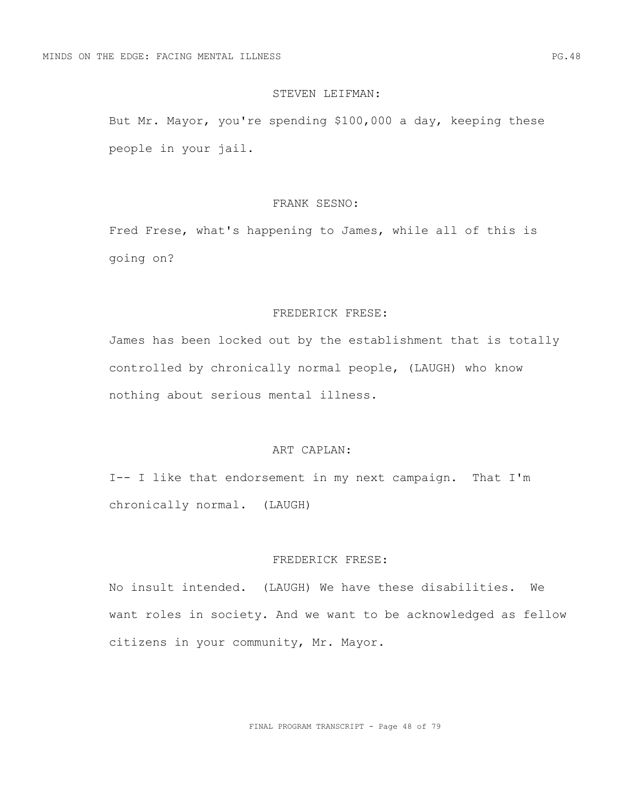### STEVEN LEIFMAN:

But Mr. Mayor, you're spending \$100,000 a day, keeping these people in your jail.

## FRANK SESNO:

Fred Frese, what's happening to James, while all of this is going on?

## FREDERICK FRESE:

James has been locked out by the establishment that is totally controlled by chronically normal people, (LAUGH) who know nothing about serious mental illness.

## ART CAPLAN:

I-- I like that endorsement in my next campaign. That I'm chronically normal. (LAUGH)

# FREDERICK FRESE:

No insult intended. (LAUGH) We have these disabilities. We want roles in society. And we want to be acknowledged as fellow citizens in your community, Mr. Mayor.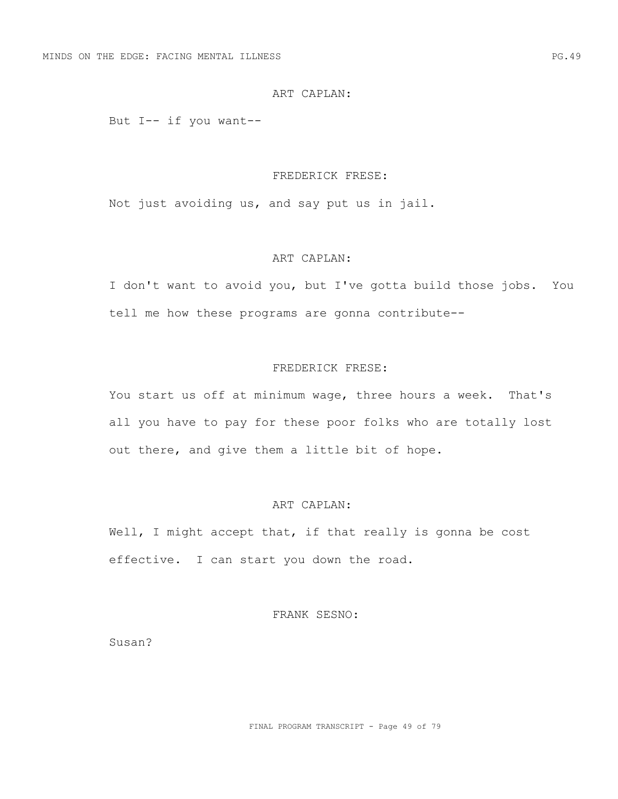### ART CAPLAN:

But I-- if you want--

#### FREDERICK FRESE:

Not just avoiding us, and say put us in jail.

## ART CAPLAN:

I don't want to avoid you, but I've gotta build those jobs. You tell me how these programs are gonna contribute--

## FREDERICK FRESE:

You start us off at minimum wage, three hours a week. That's all you have to pay for these poor folks who are totally lost out there, and give them a little bit of hope.

# ART CAPLAN:

Well, I might accept that, if that really is gonna be cost effective. I can start you down the road.

FRANK SESNO:

Susan?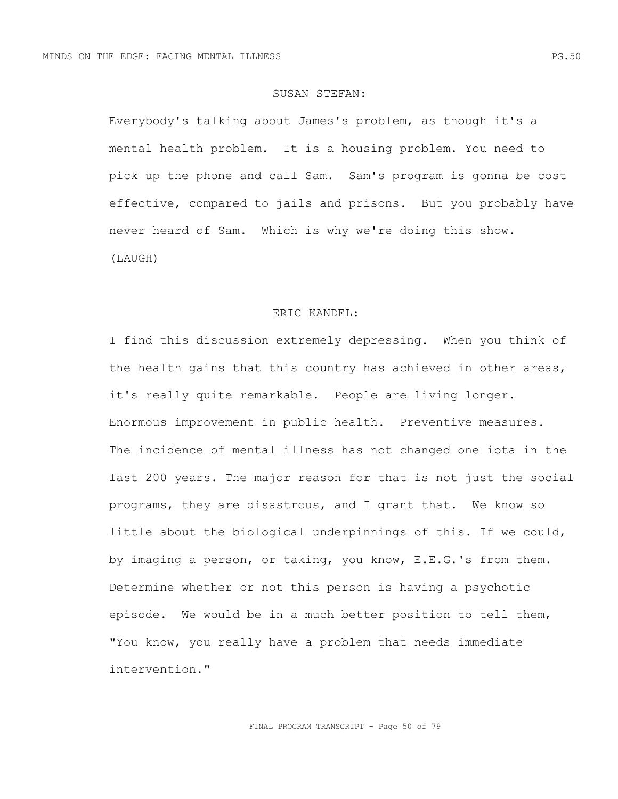## SUSAN STEFAN:

Everybody's talking about James's problem, as though it's a mental health problem. It is a housing problem. You need to pick up the phone and call Sam. Sam's program is gonna be cost effective, compared to jails and prisons. But you probably have never heard of Sam. Which is why we're doing this show. (LAUGH)

#### ERIC KANDEL:

I find this discussion extremely depressing. When you think of the health gains that this country has achieved in other areas, it's really quite remarkable. People are living longer. Enormous improvement in public health. Preventive measures. The incidence of mental illness has not changed one iota in the last 200 years. The major reason for that is not just the social programs, they are disastrous, and I grant that. We know so little about the biological underpinnings of this. If we could, by imaging a person, or taking, you know, E.E.G.'s from them. Determine whether or not this person is having a psychotic episode. We would be in a much better position to tell them, "You know, you really have a problem that needs immediate intervention."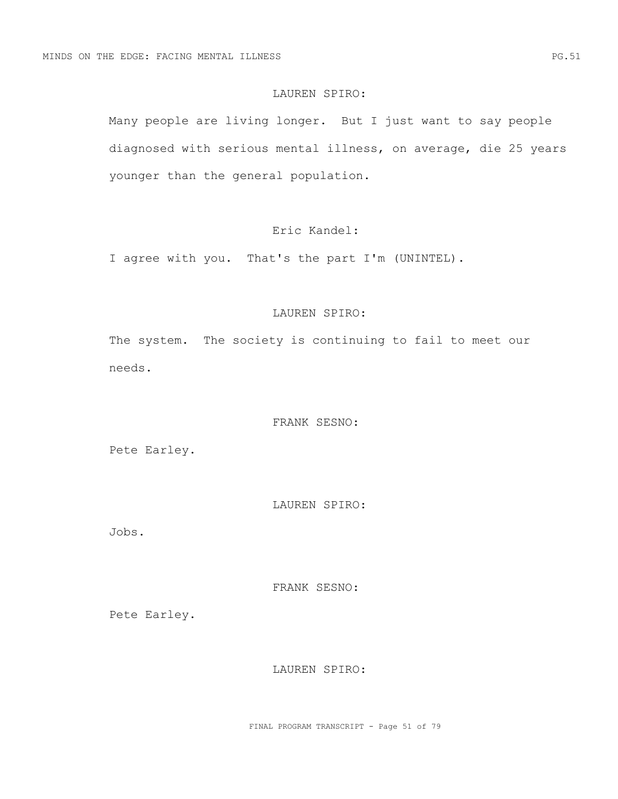## LAUREN SPIRO:

Many people are living longer. But I just want to say people diagnosed with serious mental illness, on average, die 25 years younger than the general population.

# Eric Kandel:

I agree with you. That's the part I'm (UNINTEL).

# LAUREN SPIRO:

The system. The society is continuing to fail to meet our needs.

# FRANK SESNO:

Pete Earley.

# LAUREN SPIRO:

Jobs.

## FRANK SESNO:

Pete Earley.

## LAUREN SPIRO: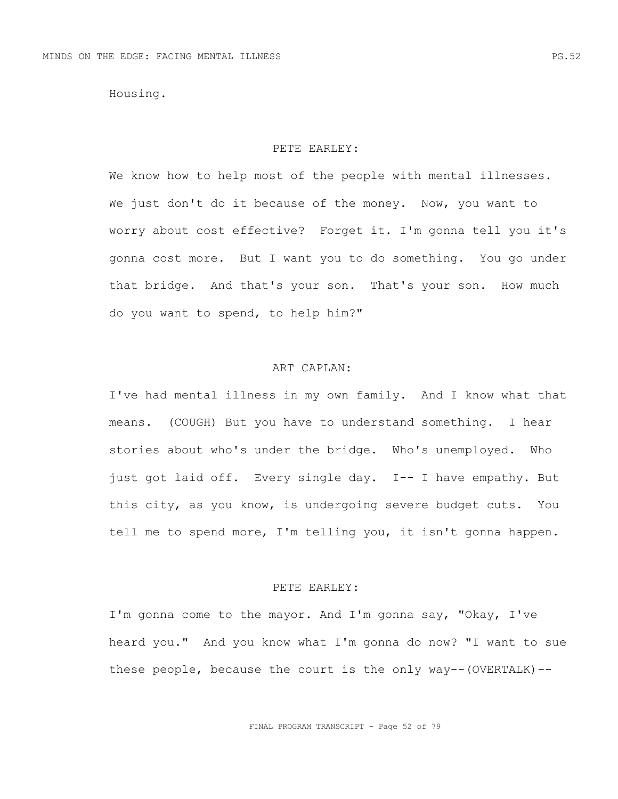Housing.

### PETE EARLEY:

We know how to help most of the people with mental illnesses. We just don't do it because of the money. Now, you want to worry about cost effective? Forget it. I'm gonna tell you it's gonna cost more. But I want you to do something. You go under that bridge. And that's your son. That's your son. How much do you want to spend, to help him?"

## ART CAPLAN:

I've had mental illness in my own family. And I know what that means. (COUGH) But you have to understand something. I hear stories about who's under the bridge. Who's unemployed. Who just got laid off. Every single day. I-- I have empathy. But this city, as you know, is undergoing severe budget cuts. You tell me to spend more, I'm telling you, it isn't gonna happen.

## PETE EARLEY:

I'm gonna come to the mayor. And I'm gonna say, "Okay, I've heard you." And you know what I'm gonna do now? "I want to sue these people, because the court is the only way--(OVERTALK)--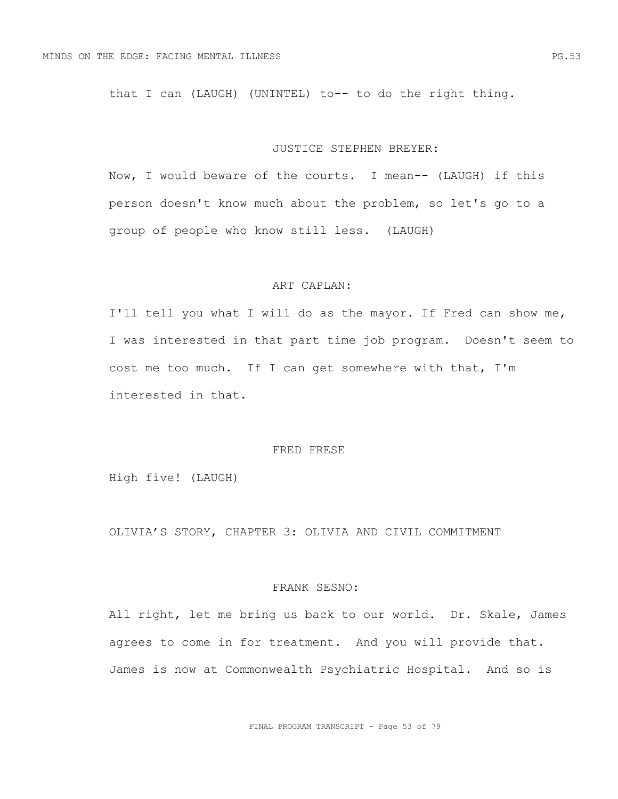that I can (LAUGH) (UNINTEL) to-- to do the right thing.

#### JUSTICE STEPHEN BREYER:

Now, I would beware of the courts. I mean-- (LAUGH) if this person doesn't know much about the problem, so let's go to a group of people who know still less. (LAUGH)

## ART CAPLAN:

I'll tell you what I will do as the mayor. If Fred can show me, I was interested in that part time job program. Doesn't seem to cost me too much. If I can get somewhere with that, I'm interested in that.

## FRED FRESE

High five! (LAUGH)

OLIVIA'S STORY, CHAPTER 3: OLIVIA AND CIVIL COMMITMENT

## FRANK SESNO:

All right, let me bring us back to our world. Dr. Skale, James agrees to come in for treatment. And you will provide that. James is now at Commonwealth Psychiatric Hospital. And so is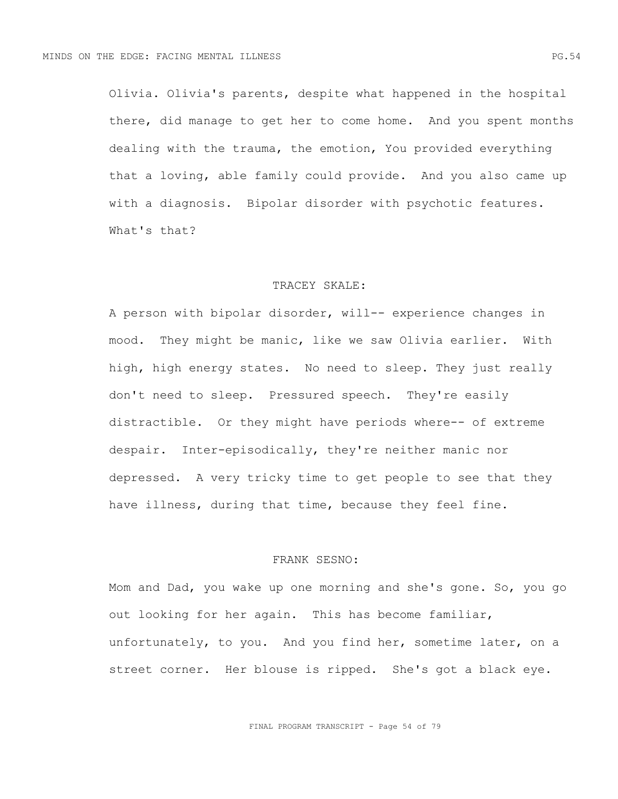Olivia. Olivia's parents, despite what happened in the hospital there, did manage to get her to come home. And you spent months dealing with the trauma, the emotion, You provided everything that a loving, able family could provide. And you also came up with a diagnosis. Bipolar disorder with psychotic features. What's that?

## TRACEY SKALE:

A person with bipolar disorder, will-- experience changes in mood. They might be manic, like we saw Olivia earlier. With high, high energy states. No need to sleep. They just really don't need to sleep. Pressured speech. They're easily distractible. Or they might have periods where-- of extreme despair. Inter-episodically, they're neither manic nor depressed. A very tricky time to get people to see that they have illness, during that time, because they feel fine.

# FRANK SESNO:

Mom and Dad, you wake up one morning and she's gone. So, you go out looking for her again. This has become familiar, unfortunately, to you. And you find her, sometime later, on a street corner. Her blouse is ripped. She's got a black eye.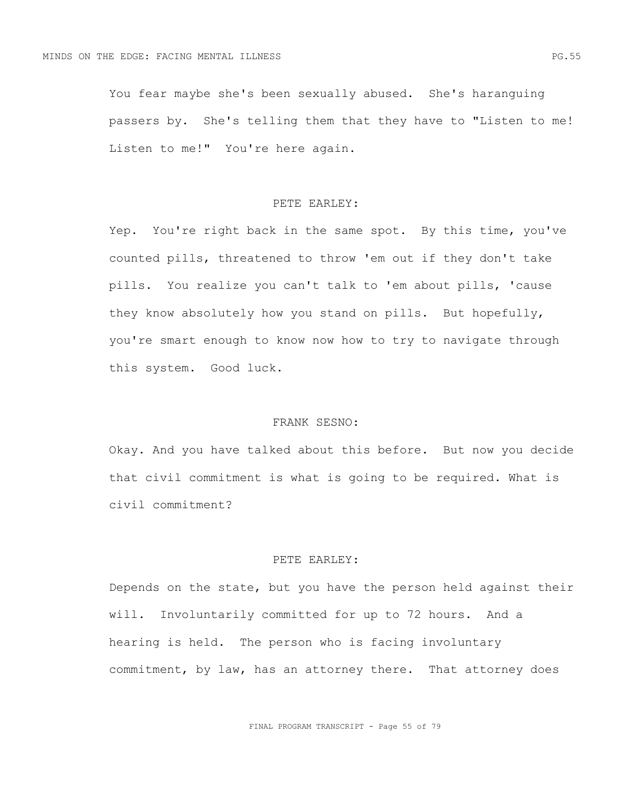You fear maybe she's been sexually abused. She's haranguing passers by. She's telling them that they have to "Listen to me! Listen to me!" You're here again.

## PETE EARLEY:

Yep. You're right back in the same spot. By this time, you've counted pills, threatened to throw 'em out if they don't take pills. You realize you can't talk to 'em about pills, 'cause they know absolutely how you stand on pills. But hopefully, you're smart enough to know now how to try to navigate through this system. Good luck.

# FRANK SESNO:

Okay. And you have talked about this before. But now you decide that civil commitment is what is going to be required. What is civil commitment?

# PETE EARLEY:

Depends on the state, but you have the person held against their will. Involuntarily committed for up to 72 hours. And a hearing is held. The person who is facing involuntary commitment, by law, has an attorney there. That attorney does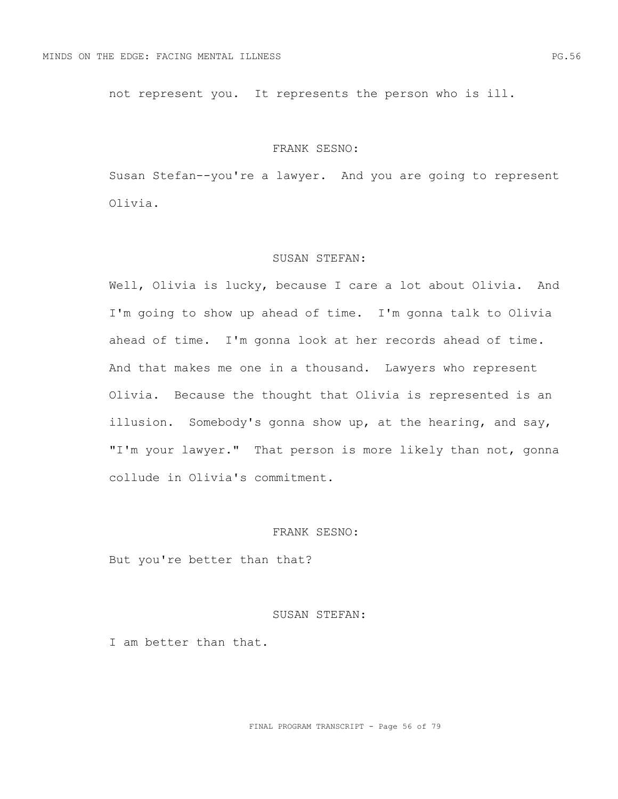not represent you. It represents the person who is ill.

#### FRANK SESNO:

Susan Stefan--you're a lawyer. And you are going to represent Olivia.

### SUSAN STEFAN:

Well, Olivia is lucky, because I care a lot about Olivia. And I'm going to show up ahead of time. I'm gonna talk to Olivia ahead of time. I'm gonna look at her records ahead of time. And that makes me one in a thousand. Lawyers who represent Olivia. Because the thought that Olivia is represented is an illusion. Somebody's gonna show up, at the hearing, and say, "I'm your lawyer." That person is more likely than not, gonna collude in Olivia's commitment.

# FRANK SESNO:

But you're better than that?

## SUSAN STEFAN:

I am better than that.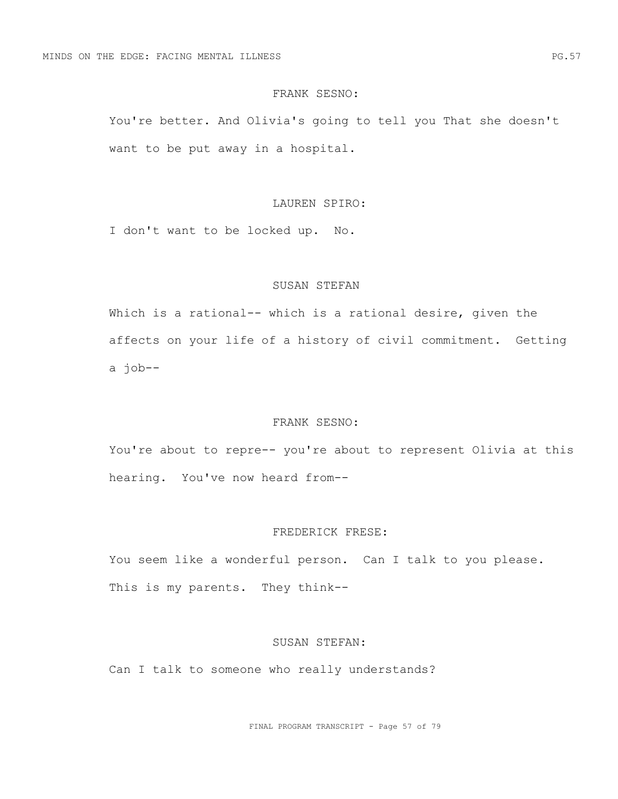## FRANK SESNO:

You're better. And Olivia's going to tell you That she doesn't want to be put away in a hospital.

## LAUREN SPIRO:

I don't want to be locked up. No.

## SUSAN STEFAN

Which is a rational-- which is a rational desire, given the affects on your life of a history of civil commitment. Getting a job--

## FRANK SESNO:

You're about to repre-- you're about to represent Olivia at this hearing. You've now heard from--

# FREDERICK FRESE:

You seem like a wonderful person. Can I talk to you please. This is my parents. They think--

### SUSAN STEFAN:

Can I talk to someone who really understands?

FINAL PROGRAM TRANSCRIPT - Page 57 of 79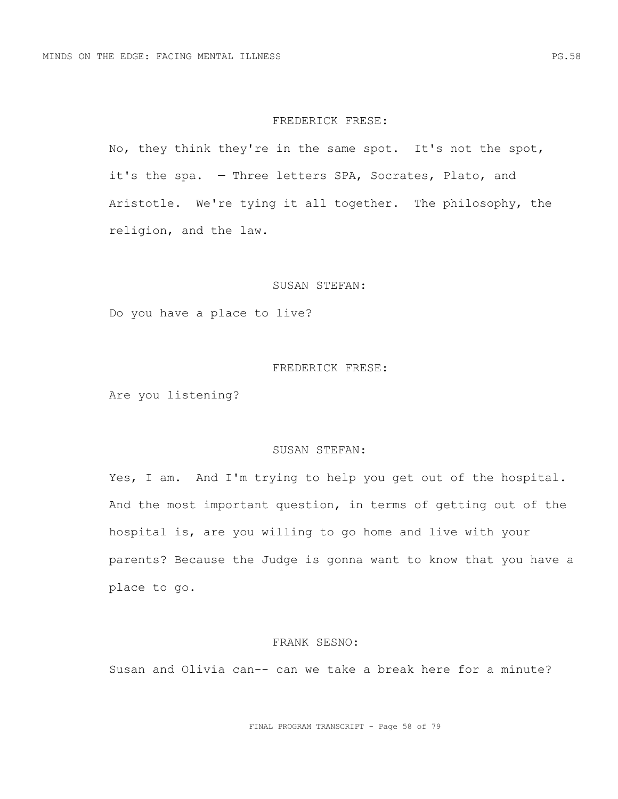#### FREDERICK FRESE:

No, they think they're in the same spot. It's not the spot, it's the spa. — Three letters SPA, Socrates, Plato, and Aristotle. We're tying it all together. The philosophy, the religion, and the law.

#### SUSAN STEFAN:

Do you have a place to live?

#### FREDERICK FRESE:

Are you listening?

## SUSAN STEFAN:

Yes, I am. And I'm trying to help you get out of the hospital. And the most important question, in terms of getting out of the hospital is, are you willing to go home and live with your parents? Because the Judge is gonna want to know that you have a place to go.

#### FRANK SESNO:

Susan and Olivia can-- can we take a break here for a minute?

FINAL PROGRAM TRANSCRIPT - Page 58 of 79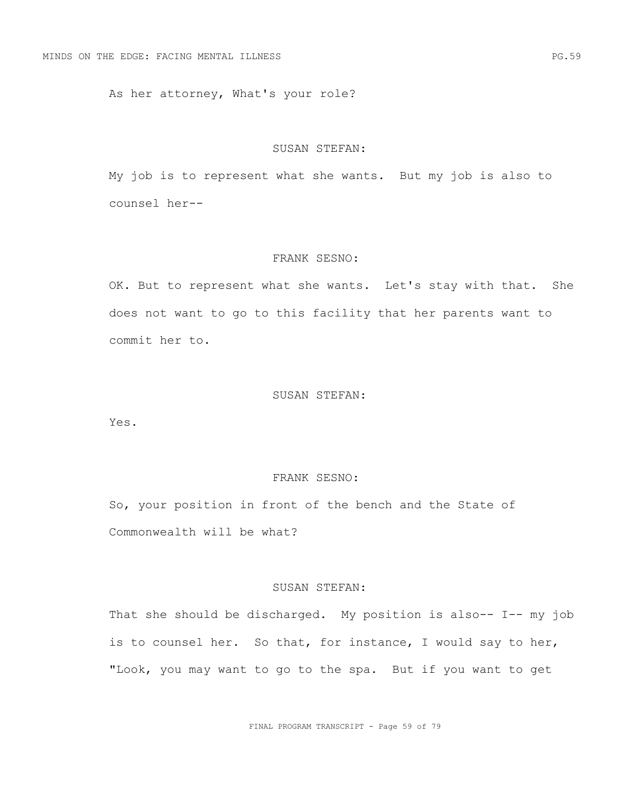As her attorney, What's your role?

#### SUSAN STEFAN:

My job is to represent what she wants. But my job is also to counsel her--

### FRANK SESNO:

OK. But to represent what she wants. Let's stay with that. She does not want to go to this facility that her parents want to commit her to.

## SUSAN STEFAN:

Yes.

# FRANK SESNO:

So, your position in front of the bench and the State of Commonwealth will be what?

## SUSAN STEFAN:

That she should be discharged. My position is also-- I-- my job is to counsel her. So that, for instance, I would say to her, "Look, you may want to go to the spa. But if you want to get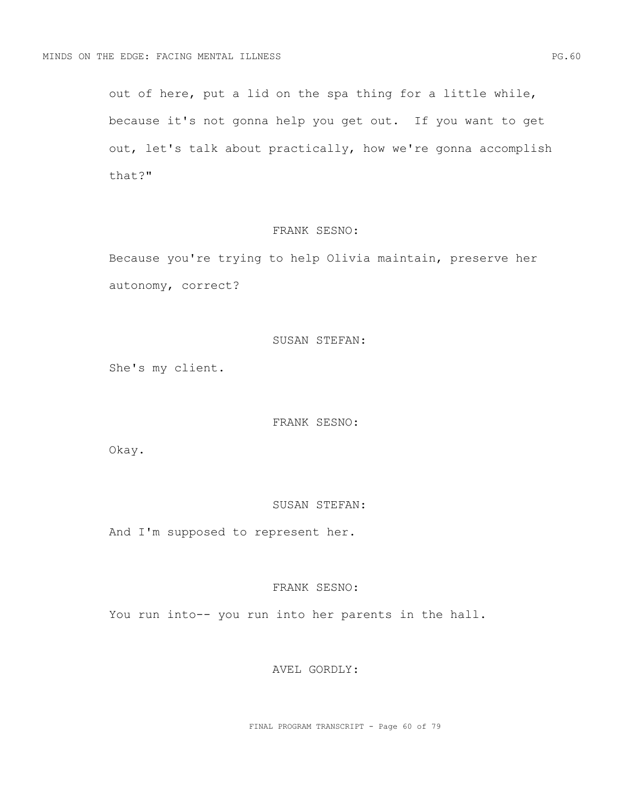out of here, put a lid on the spa thing for a little while, because it's not gonna help you get out. If you want to get out, let's talk about practically, how we're gonna accomplish that?"

# FRANK SESNO:

Because you're trying to help Olivia maintain, preserve her autonomy, correct?

### SUSAN STEFAN:

She's my client.

## FRANK SESNO:

Okay.

# SUSAN STEFAN:

And I'm supposed to represent her.

## FRANK SESNO:

You run into-- you run into her parents in the hall.

## AVEL GORDLY:

FINAL PROGRAM TRANSCRIPT - Page 60 of 79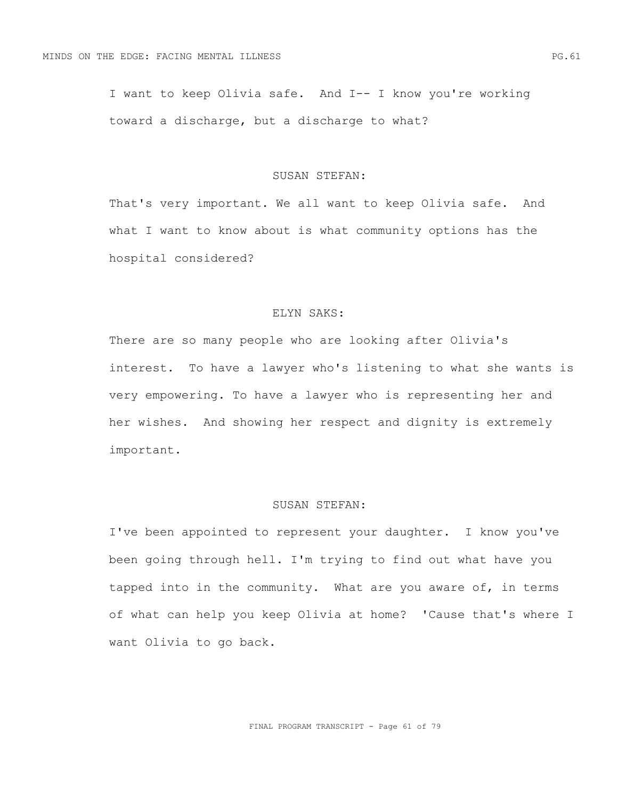I want to keep Olivia safe. And I-- I know you're working toward a discharge, but a discharge to what?

## SUSAN STEFAN:

That's very important. We all want to keep Olivia safe. And what I want to know about is what community options has the hospital considered?

## ELYN SAKS:

There are so many people who are looking after Olivia's interest. To have a lawyer who's listening to what she wants is very empowering. To have a lawyer who is representing her and her wishes. And showing her respect and dignity is extremely important.

# SUSAN STEFAN:

I've been appointed to represent your daughter. I know you've been going through hell. I'm trying to find out what have you tapped into in the community. What are you aware of, in terms of what can help you keep Olivia at home? 'Cause that's where I want Olivia to go back.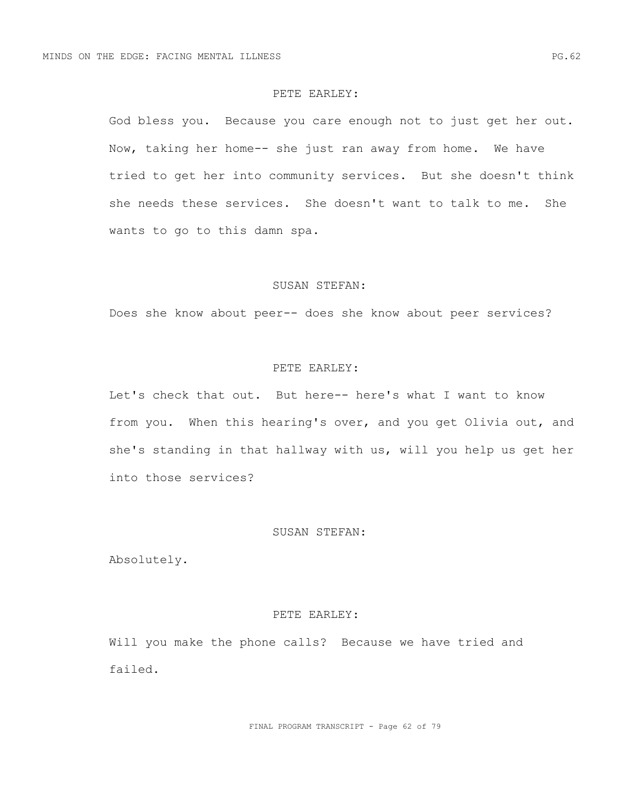## PETE EARLEY:

God bless you. Because you care enough not to just get her out. Now, taking her home-- she just ran away from home. We have tried to get her into community services. But she doesn't think she needs these services. She doesn't want to talk to me. She wants to go to this damn spa.

### SUSAN STEFAN:

Does she know about peer-- does she know about peer services?

#### PETE EARLEY:

Let's check that out. But here-- here's what I want to know from you. When this hearing's over, and you get Olivia out, and she's standing in that hallway with us, will you help us get her into those services?

## SUSAN STEFAN:

Absolutely.

#### PETE EARLEY:

Will you make the phone calls? Because we have tried and failed.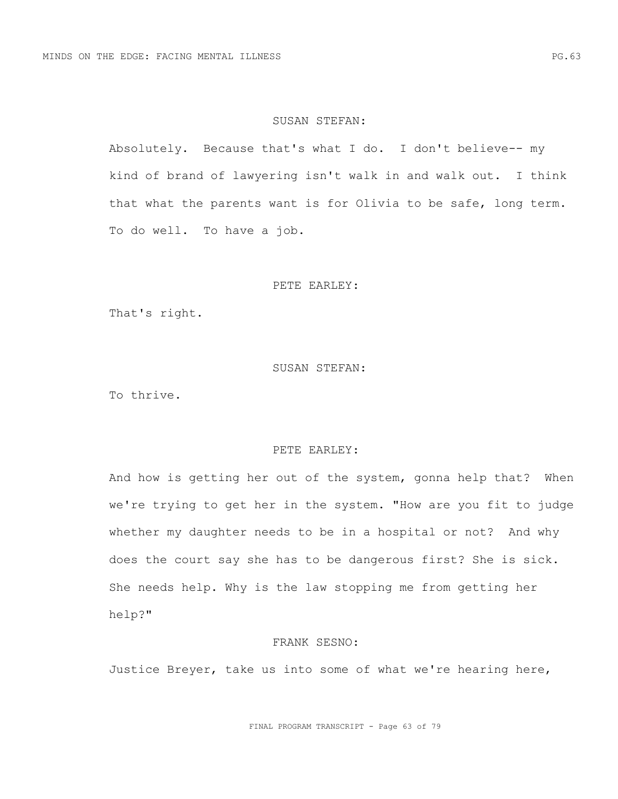## SUSAN STEFAN:

Absolutely. Because that's what I do. I don't believe-- my kind of brand of lawyering isn't walk in and walk out. I think that what the parents want is for Olivia to be safe, long term. To do well. To have a job.

### PETE EARLEY:

That's right.

#### SUSAN STEFAN:

To thrive.

## PETE EARLEY:

And how is getting her out of the system, gonna help that? When we're trying to get her in the system. "How are you fit to judge whether my daughter needs to be in a hospital or not? And why does the court say she has to be dangerous first? She is sick. She needs help. Why is the law stopping me from getting her help?"

## FRANK SESNO:

Justice Breyer, take us into some of what we're hearing here,

FINAL PROGRAM TRANSCRIPT - Page 63 of 79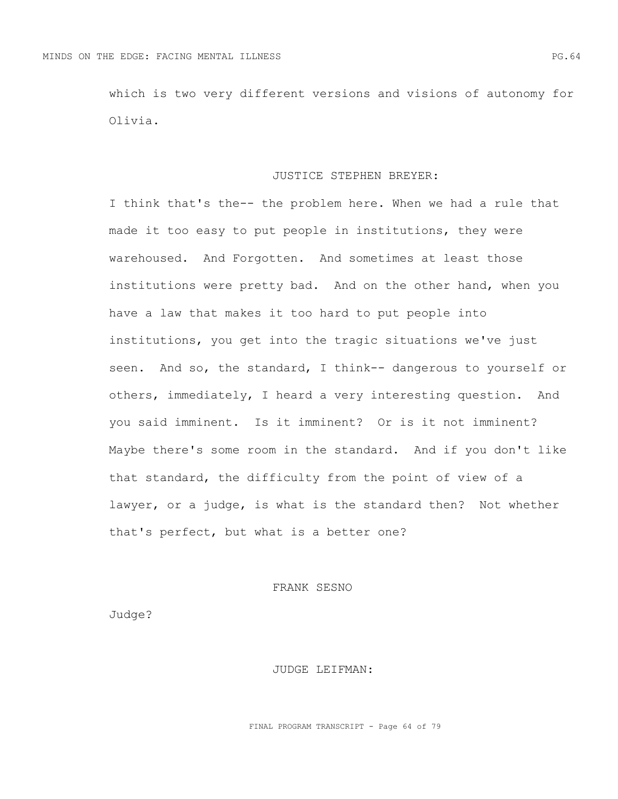which is two very different versions and visions of autonomy for Olivia.

#### JUSTICE STEPHEN BREYER:

I think that's the-- the problem here. When we had a rule that made it too easy to put people in institutions, they were warehoused. And Forgotten. And sometimes at least those institutions were pretty bad. And on the other hand, when you have a law that makes it too hard to put people into institutions, you get into the tragic situations we've just seen. And so, the standard, I think-- dangerous to yourself or others, immediately, I heard a very interesting question. And you said imminent. Is it imminent? Or is it not imminent? Maybe there's some room in the standard. And if you don't like that standard, the difficulty from the point of view of a lawyer, or a judge, is what is the standard then? Not whether that's perfect, but what is a better one?

## FRANK SESNO

Judge?

### JUDGE LEIFMAN:

FINAL PROGRAM TRANSCRIPT - Page 64 of 79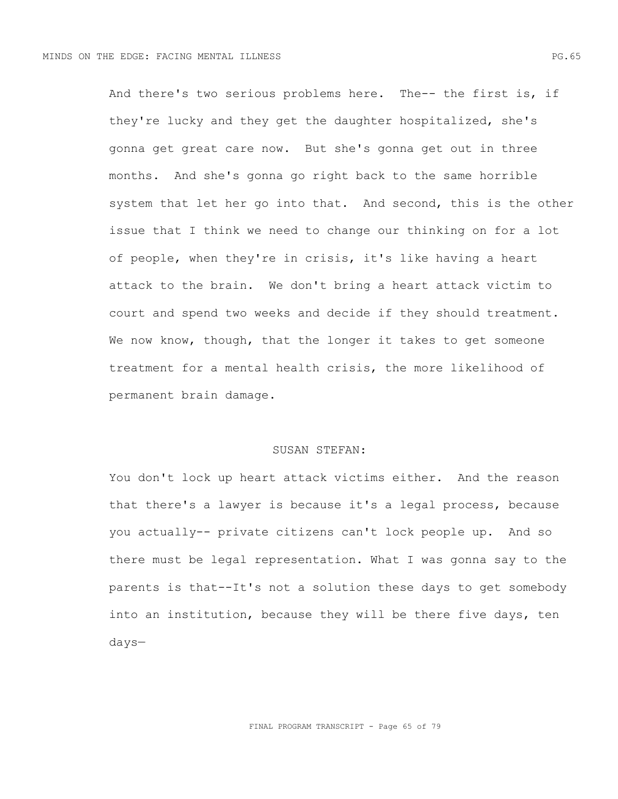And there's two serious problems here. The-- the first is, if they're lucky and they get the daughter hospitalized, she's gonna get great care now. But she's gonna get out in three months. And she's gonna go right back to the same horrible system that let her go into that. And second, this is the other issue that I think we need to change our thinking on for a lot of people, when they're in crisis, it's like having a heart attack to the brain. We don't bring a heart attack victim to court and spend two weeks and decide if they should treatment. We now know, though, that the longer it takes to get someone treatment for a mental health crisis, the more likelihood of permanent brain damage.

## SUSAN STEFAN:

You don't lock up heart attack victims either. And the reason that there's a lawyer is because it's a legal process, because you actually-- private citizens can't lock people up. And so there must be legal representation. What I was gonna say to the parents is that--It's not a solution these days to get somebody into an institution, because they will be there five days, ten days—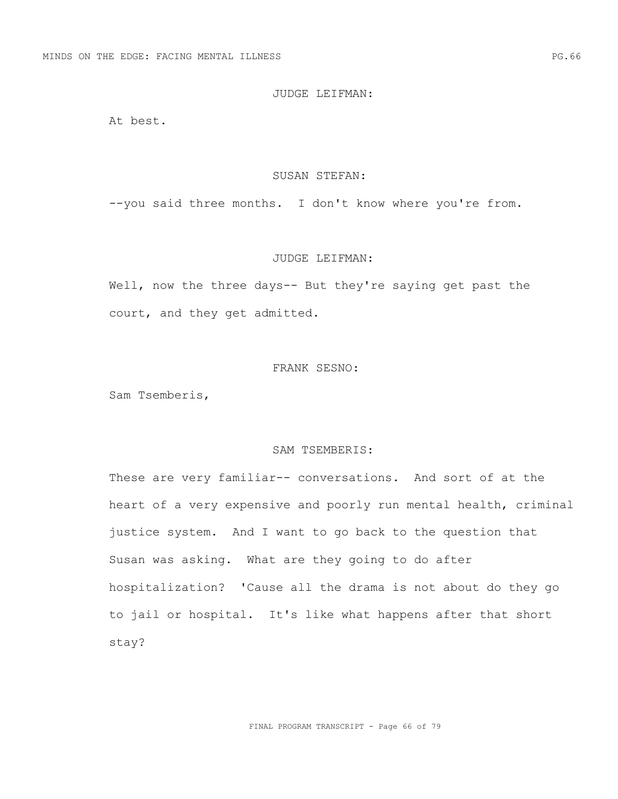## JUDGE LEIFMAN:

At best.

#### SUSAN STEFAN:

--you said three months. I don't know where you're from.

#### JUDGE LEIFMAN:

Well, now the three days-- But they're saying get past the court, and they get admitted.

## FRANK SESNO:

Sam Tsemberis,

## SAM TSEMBERIS:

These are very familiar-- conversations. And sort of at the heart of a very expensive and poorly run mental health, criminal justice system. And I want to go back to the question that Susan was asking. What are they going to do after hospitalization? 'Cause all the drama is not about do they go to jail or hospital. It's like what happens after that short stay?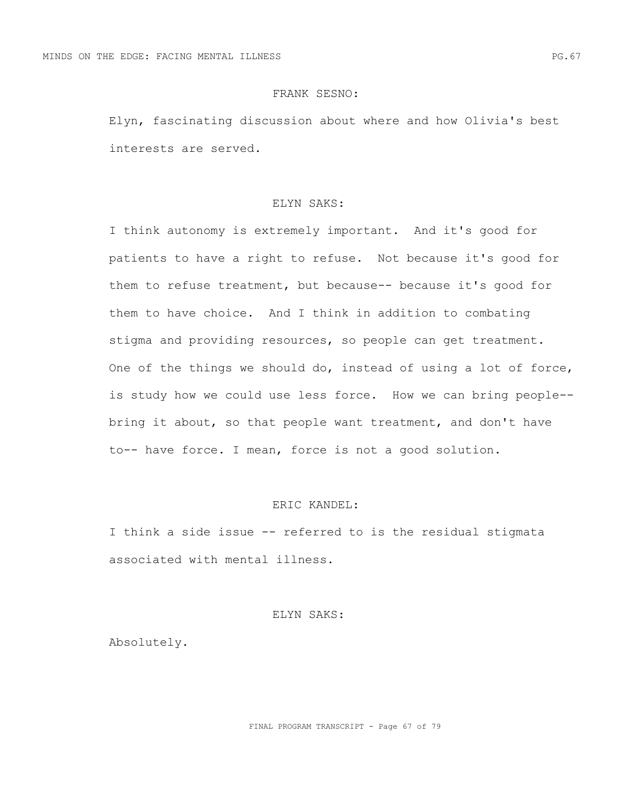## FRANK SESNO:

Elyn, fascinating discussion about where and how Olivia's best interests are served.

## ELYN SAKS:

I think autonomy is extremely important. And it's good for patients to have a right to refuse. Not because it's good for them to refuse treatment, but because-- because it's good for them to have choice. And I think in addition to combating stigma and providing resources, so people can get treatment. One of the things we should do, instead of using a lot of force, is study how we could use less force. How we can bring people- bring it about, so that people want treatment, and don't have to-- have force. I mean, force is not a good solution.

# ERIC KANDEL:

I think a side issue -- referred to is the residual stigmata associated with mental illness.

## ELYN SAKS:

Absolutely.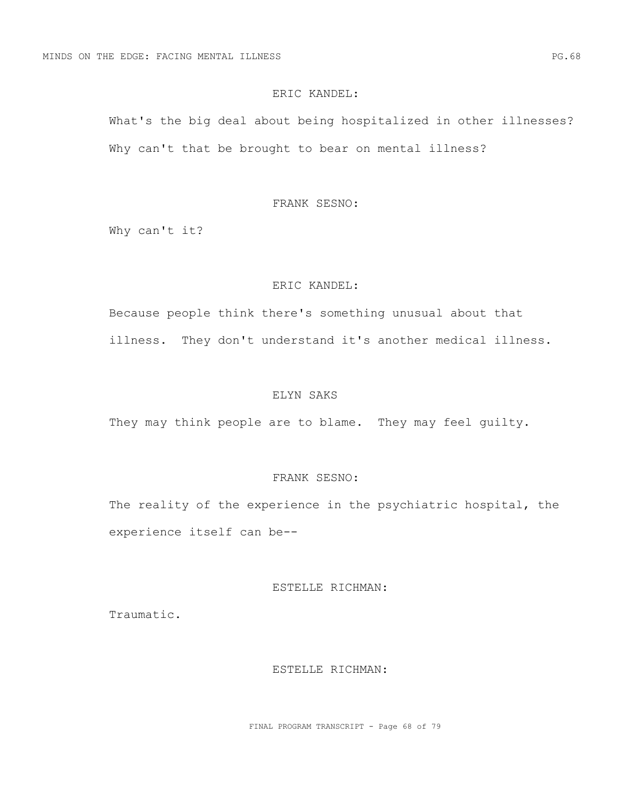## ERIC KANDEL:

What's the big deal about being hospitalized in other illnesses? Why can't that be brought to bear on mental illness?

## FRANK SESNO:

Why can't it?

## ERIC KANDEL:

Because people think there's something unusual about that illness. They don't understand it's another medical illness.

# ELYN SAKS

They may think people are to blame. They may feel quilty.

# FRANK SESNO:

The reality of the experience in the psychiatric hospital, the experience itself can be--

## ESTELLE RICHMAN:

Traumatic.

### ESTELLE RICHMAN:

FINAL PROGRAM TRANSCRIPT - Page 68 of 79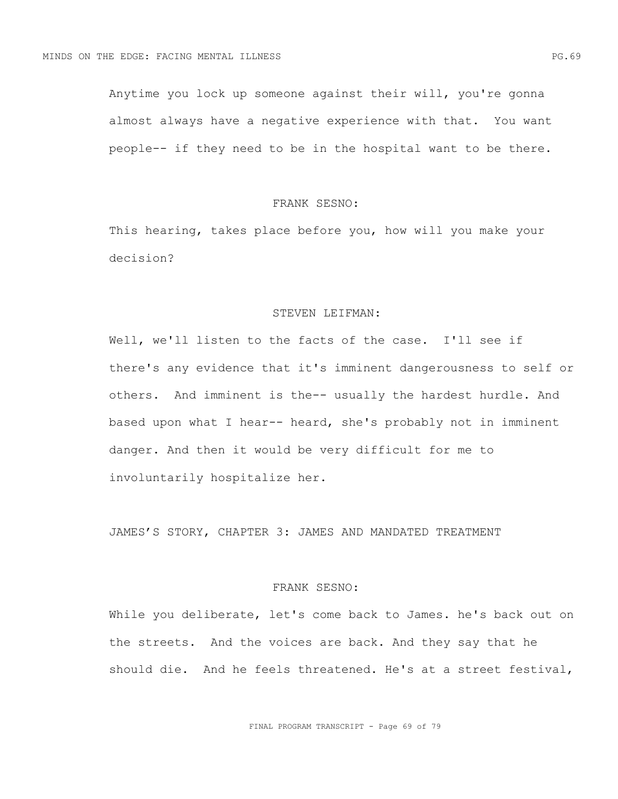Anytime you lock up someone against their will, you're gonna almost always have a negative experience with that. You want people-- if they need to be in the hospital want to be there.

## FRANK SESNO:

This hearing, takes place before you, how will you make your decision?

## STEVEN LEIFMAN:

Well, we'll listen to the facts of the case. I'll see if there's any evidence that it's imminent dangerousness to self or others. And imminent is the-- usually the hardest hurdle. And based upon what I hear-- heard, she's probably not in imminent danger. And then it would be very difficult for me to involuntarily hospitalize her.

JAMES'S STORY, CHAPTER 3: JAMES AND MANDATED TREATMENT

## FRANK SESNO:

While you deliberate, let's come back to James. he's back out on the streets. And the voices are back. And they say that he should die. And he feels threatened. He's at a street festival,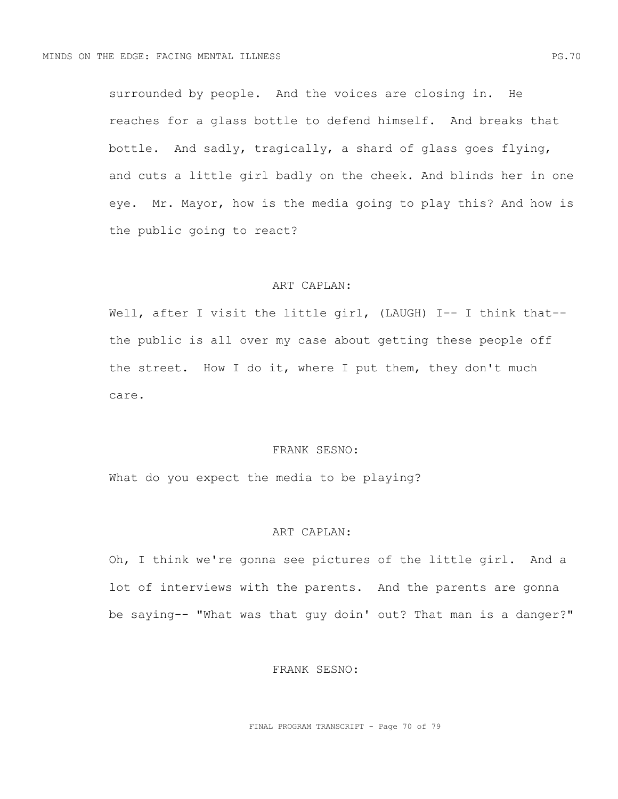surrounded by people. And the voices are closing in. He reaches for a glass bottle to defend himself. And breaks that bottle. And sadly, tragically, a shard of glass goes flying, and cuts a little girl badly on the cheek. And blinds her in one eye. Mr. Mayor, how is the media going to play this? And how is the public going to react?

## ART CAPLAN:

Well, after I visit the little girl, (LAUGH) I-- I think that-the public is all over my case about getting these people off the street. How I do it, where I put them, they don't much care.

## FRANK SESNO:

What do you expect the media to be playing?

## ART CAPLAN:

Oh, I think we're gonna see pictures of the little girl. And a lot of interviews with the parents. And the parents are gonna be saying-- "What was that guy doin' out? That man is a danger?"

## FRANK SESNO:

FINAL PROGRAM TRANSCRIPT - Page 70 of 79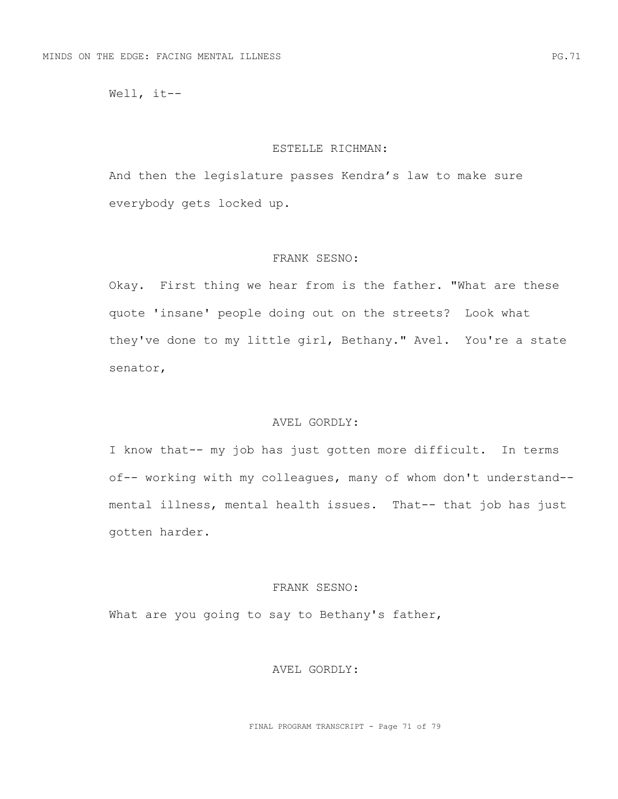Well, it--

### ESTELLE RICHMAN:

And then the legislature passes Kendra's law to make sure everybody gets locked up.

## FRANK SESNO:

Okay. First thing we hear from is the father. "What are these quote 'insane' people doing out on the streets? Look what they've done to my little girl, Bethany." Avel. You're a state senator,

# AVEL GORDLY:

I know that-- my job has just gotten more difficult. In terms of-- working with my colleagues, many of whom don't understand- mental illness, mental health issues. That-- that job has just gotten harder.

## FRANK SESNO:

What are you going to say to Bethany's father,

## AVEL GORDLY: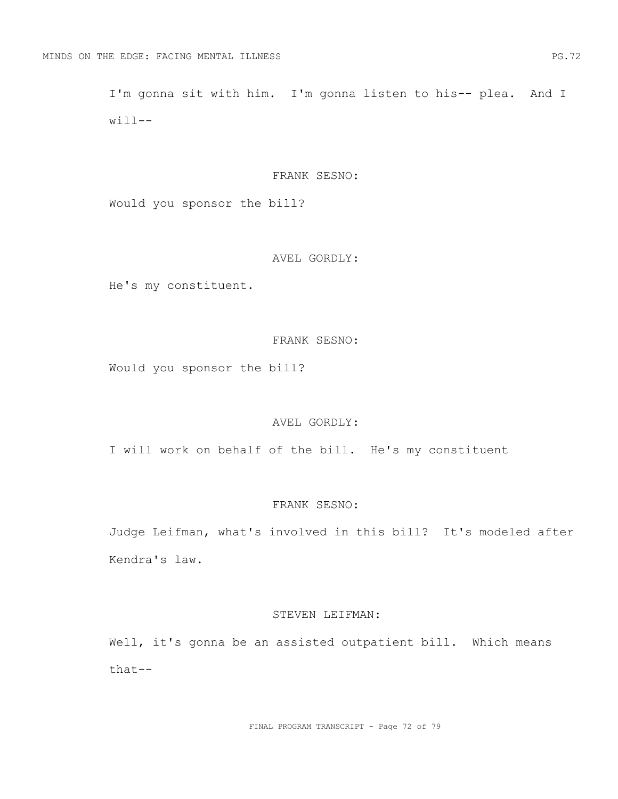I'm gonna sit with him. I'm gonna listen to his-- plea. And I  $will$ --

#### FRANK SESNO:

Would you sponsor the bill?

## AVEL GORDLY:

He's my constituent.

## FRANK SESNO:

Would you sponsor the bill?

# AVEL GORDLY:

I will work on behalf of the bill. He's my constituent

# FRANK SESNO:

Judge Leifman, what's involved in this bill? It's modeled after Kendra's law.

#### STEVEN LEIFMAN:

Well, it's gonna be an assisted outpatient bill. Which means that--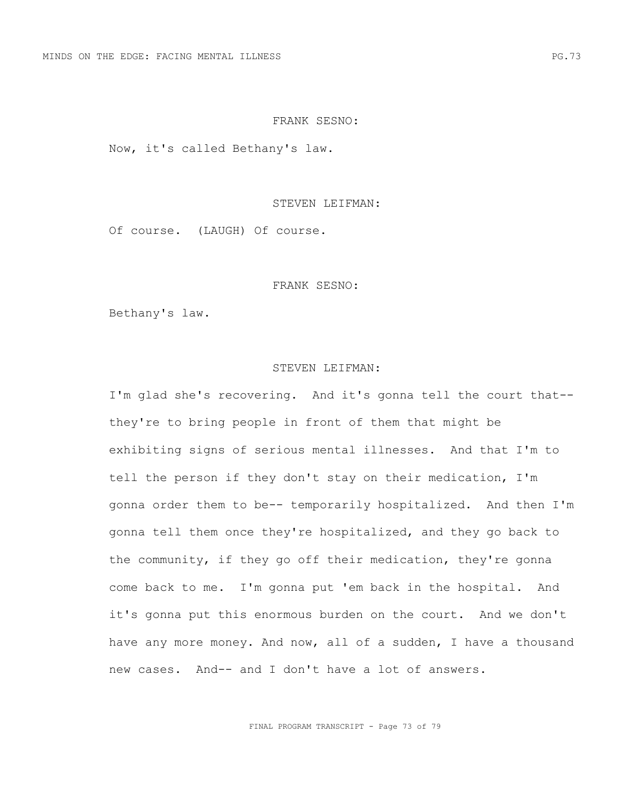### FRANK SESNO:

Now, it's called Bethany's law.

### STEVEN LEIFMAN:

Of course. (LAUGH) Of course.

### FRANK SESNO:

Bethany's law.

#### STEVEN LEIFMAN:

I'm glad she's recovering. And it's gonna tell the court that- they're to bring people in front of them that might be exhibiting signs of serious mental illnesses. And that I'm to tell the person if they don't stay on their medication, I'm gonna order them to be-- temporarily hospitalized. And then I'm gonna tell them once they're hospitalized, and they go back to the community, if they go off their medication, they're gonna come back to me. I'm gonna put 'em back in the hospital. And it's gonna put this enormous burden on the court. And we don't have any more money. And now, all of a sudden, I have a thousand new cases. And-- and I don't have a lot of answers.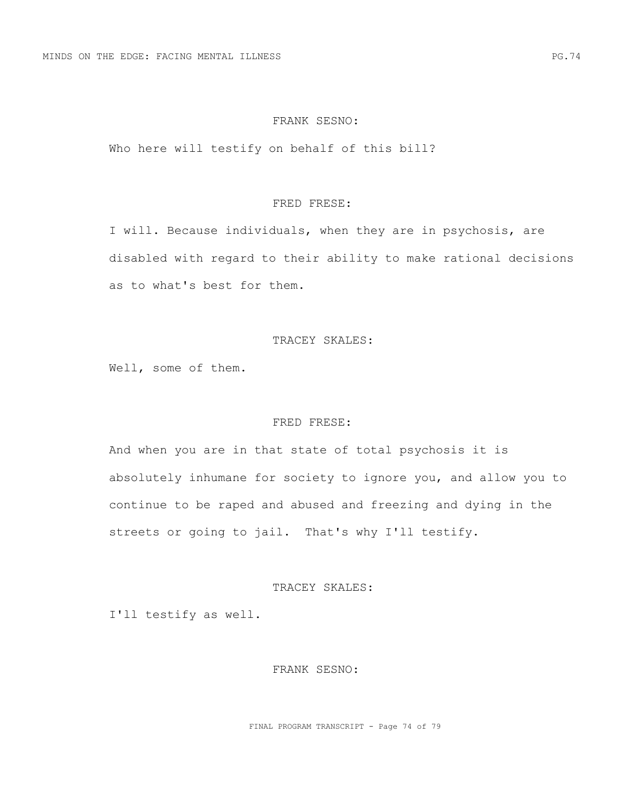### FRANK SESNO:

Who here will testify on behalf of this bill?

### FRED FRESE:

I will. Because individuals, when they are in psychosis, are disabled with regard to their ability to make rational decisions as to what's best for them.

## TRACEY SKALES:

Well, some of them.

## FRED FRESE:

And when you are in that state of total psychosis it is absolutely inhumane for society to ignore you, and allow you to continue to be raped and abused and freezing and dying in the streets or going to jail. That's why I'll testify.

### TRACEY SKALES:

I'll testify as well.

## FRANK SESNO:

FINAL PROGRAM TRANSCRIPT - Page 74 of 79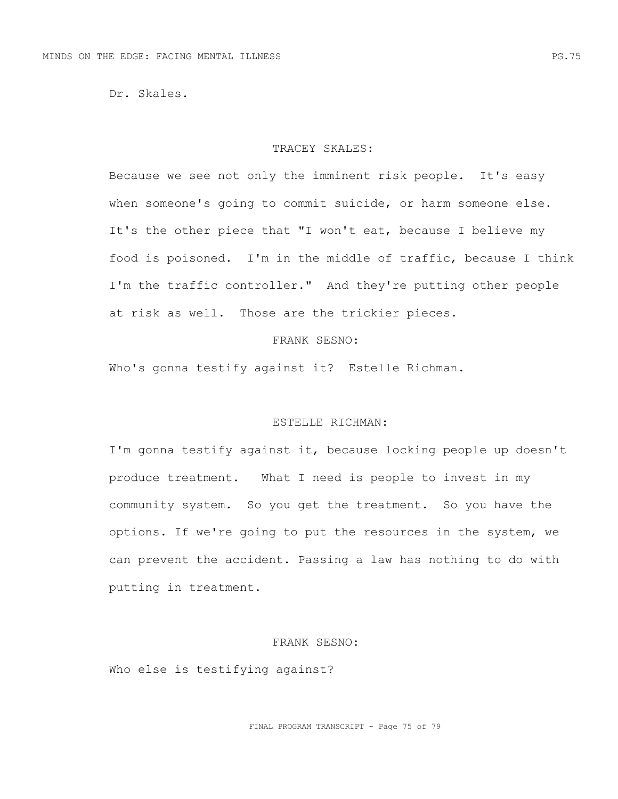Dr. Skales.

#### TRACEY SKALES:

Because we see not only the imminent risk people. It's easy when someone's going to commit suicide, or harm someone else. It's the other piece that "I won't eat, because I believe my food is poisoned. I'm in the middle of traffic, because I think I'm the traffic controller." And they're putting other people at risk as well. Those are the trickier pieces.

## FRANK SESNO:

Who's gonna testify against it? Estelle Richman.

# ESTELLE RICHMAN:

I'm gonna testify against it, because locking people up doesn't produce treatment. What I need is people to invest in my community system. So you get the treatment. So you have the options. If we're going to put the resources in the system, we can prevent the accident. Passing a law has nothing to do with putting in treatment.

#### FRANK SESNO:

Who else is testifying against?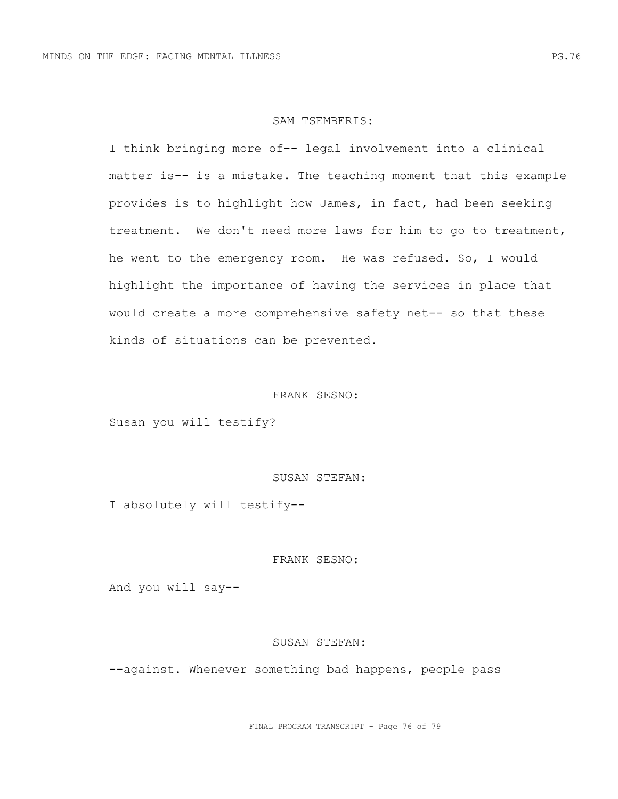#### SAM TSEMBERIS:

I think bringing more of-- legal involvement into a clinical matter is-- is a mistake. The teaching moment that this example provides is to highlight how James, in fact, had been seeking treatment. We don't need more laws for him to go to treatment, he went to the emergency room. He was refused. So, I would highlight the importance of having the services in place that would create a more comprehensive safety net-- so that these kinds of situations can be prevented.

# FRANK SESNO:

Susan you will testify?

# SUSAN STEFAN:

I absolutely will testify--

# FRANK SESNO:

And you will say--

### SUSAN STEFAN:

--against. Whenever something bad happens, people pass

FINAL PROGRAM TRANSCRIPT - Page 76 of 79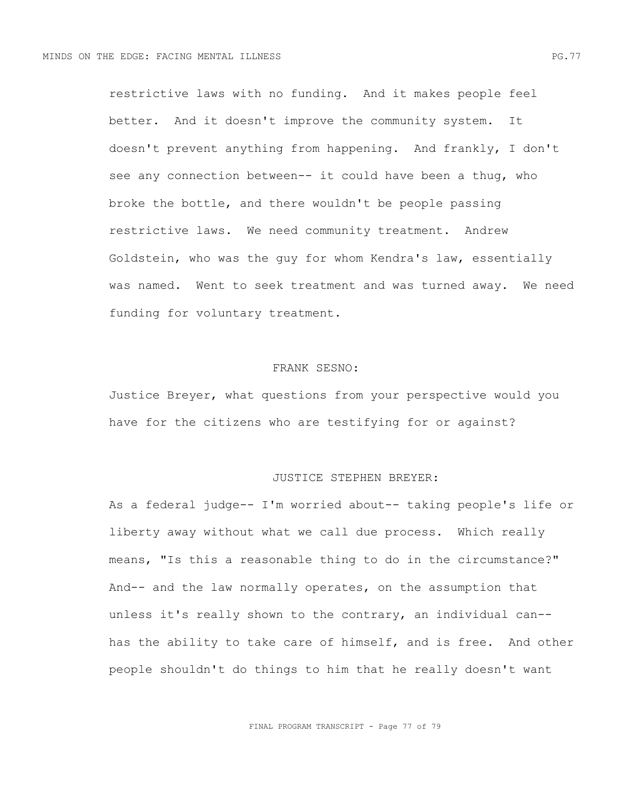restrictive laws with no funding. And it makes people feel better. And it doesn't improve the community system. It doesn't prevent anything from happening. And frankly, I don't see any connection between-- it could have been a thug, who broke the bottle, and there wouldn't be people passing restrictive laws. We need community treatment. Andrew Goldstein, who was the guy for whom Kendra's law, essentially was named. Went to seek treatment and was turned away. We need funding for voluntary treatment.

### FRANK SESNO:

Justice Breyer, what questions from your perspective would you have for the citizens who are testifying for or against?

### JUSTICE STEPHEN BREYER:

As a federal judge-- I'm worried about-- taking people's life or liberty away without what we call due process. Which really means, "Is this a reasonable thing to do in the circumstance?" And-- and the law normally operates, on the assumption that unless it's really shown to the contrary, an individual can- has the ability to take care of himself, and is free. And other people shouldn't do things to him that he really doesn't want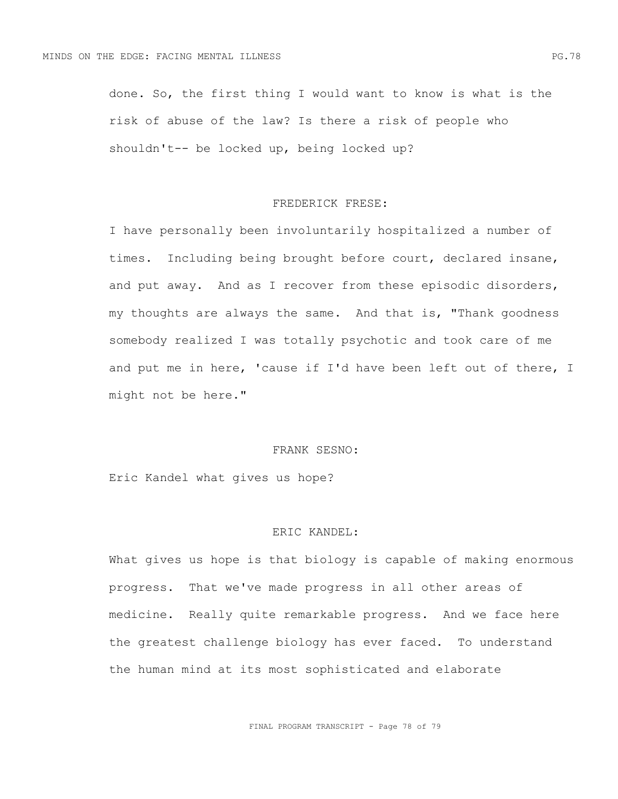done. So, the first thing I would want to know is what is the risk of abuse of the law? Is there a risk of people who shouldn't-- be locked up, being locked up?

## FREDERICK FRESE:

I have personally been involuntarily hospitalized a number of times. Including being brought before court, declared insane, and put away. And as I recover from these episodic disorders, my thoughts are always the same. And that is, "Thank goodness somebody realized I was totally psychotic and took care of me and put me in here, 'cause if I'd have been left out of there, I might not be here."

### FRANK SESNO:

Eric Kandel what gives us hope?

# ERIC KANDEL:

What gives us hope is that biology is capable of making enormous progress. That we've made progress in all other areas of medicine. Really quite remarkable progress. And we face here the greatest challenge biology has ever faced. To understand the human mind at its most sophisticated and elaborate